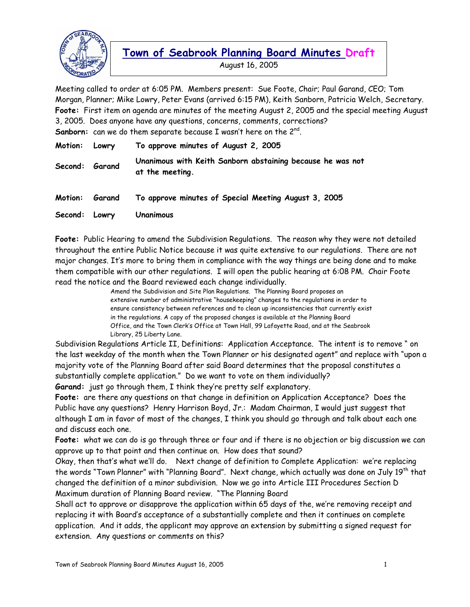

August 16, 2005

Meeting called to order at 6:05 PM. Members present: Sue Foote, Chair; Paul Garand, CEO; Tom Morgan, Planner; Mike Lowry, Peter Evans (arrived 6:15 PM), Keith Sanborn, Patricia Welch, Secretary. **Foote:** First item on agenda are minutes of the meeting August 2, 2005 and the special meeting August 3, 2005. Does anyone have any questions, concerns, comments, corrections? **Sanborn:** can we do them separate because I wasn't here on the 2<sup>nd</sup>.

| Motion: Lowry  |                | To approve minutes of August 2, 2005                                          |
|----------------|----------------|-------------------------------------------------------------------------------|
| Second: Garand |                | Unanimous with Keith Sanborn abstaining because he was not<br>at the meeting. |
|                | Motion: Garand | To approve minutes of Special Meeting August 3, 2005                          |
| Second: Lowry  |                | Unanimous                                                                     |

**Foote:** Public Hearing to amend the Subdivision Regulations. The reason why they were not detailed throughout the entire Public Notice because it was quite extensive to our regulations. There are not major changes. It's more to bring them in compliance with the way things are being done and to make them compatible with our other regulations. I will open the public hearing at 6:08 PM. Chair Foote read the notice and the Board reviewed each change individually.

> Amend the Subdivision and Site Plan Regulations. The Planning Board proposes an extensive number of administrative "housekeeping" changes to the regulations in order to ensure consistency between references and to clean up inconsistencies that currently exist in the regulations. A copy of the proposed changes is available at the Planning Board Office, and the Town Clerk's Office at Town Hall, 99 Lafayette Road, and at the Seabrook Library, 25 Liberty Lane.

Subdivision Regulations Article II, Definitions: Application Acceptance. The intent is to remove " on the last weekday of the month when the Town Planner or his designated agent" and replace with "upon a majority vote of the Planning Board after said Board determines that the proposal constitutes a substantially complete application." Do we want to vote on them individually? **Garand:** just go through them, I think they're pretty self explanatory.

**Foote:** are there any questions on that change in definition on Application Acceptance? Does the Public have any questions? Henry Harrison Boyd, Jr.: Madam Chairman, I would just suggest that although I am in favor of most of the changes, I think you should go through and talk about each one and discuss each one.

**Foote:** what we can do is go through three or four and if there is no objection or big discussion we can approve up to that point and then continue on. How does that sound?

Okay, then that's what we'll do. Next change of definition to Complete Application: we're replacing the words "Town Planner" with "Planning Board". Next change, which actually was done on July 19<sup>th</sup> that changed the definition of a minor subdivision. Now we go into Article III Procedures Section D Maximum duration of Planning Board review. "The Planning Board

Shall act to approve or disapprove the application within 65 days of the, we're removing receipt and replacing it with Board's acceptance of a substantially complete and then it continues on complete application. And it adds, the applicant may approve an extension by submitting a signed request for extension. Any questions or comments on this?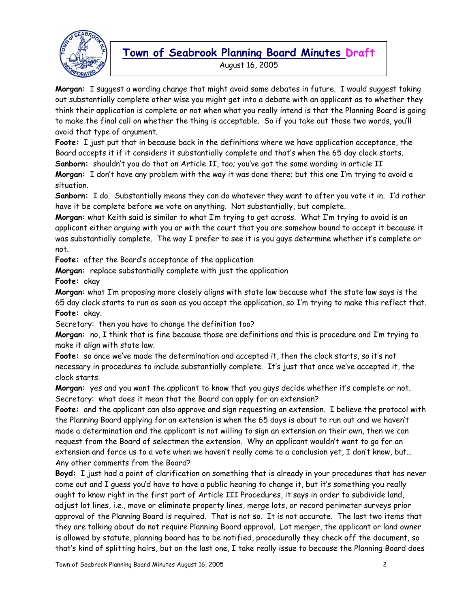

August 16, 2005

**Morgan:** I suggest a wording change that might avoid some debates in future. I would suggest taking out substantially complete other wise you might get into a debate with an applicant as to whether they think their application is complete or not when what you really intend is that the Planning Board is going to make the final call on whether the thing is acceptable. So if you take out those two words, you'll avoid that type of argument.

**Foote:** I just put that in because back in the definitions where we have application acceptance, the Board accepts it if it considers it substantially complete and that's when the 65 day clock starts.

**Sanborn:** shouldn't you do that on Article II, too; you've got the same wording in article II **Morgan:** I don't have any problem with the way it was done there; but this one I'm trying to avoid a situation.

**Sanborn:** I do. Substantially means they can do whatever they want to after you vote it in. I'd rather have it be complete before we vote on anything. Not substantially, but complete.

**Morgan:** what Keith said is similar to what I'm trying to get across. What I'm trying to avoid is an applicant either arguing with you or with the court that you are somehow bound to accept it because it was substantially complete. The way I prefer to see it is you guys determine whether it's complete or not.

**Foote:** after the Board's acceptance of the application

**Morgan:** replace substantially complete with just the application

**Foote:** okay

**Morgan:** what I'm proposing more closely aligns with state law because what the state law says is the 65 day clock starts to run as soon as you accept the application, so I'm trying to make this reflect that. **Foote:** okay.

Secretary: then you have to change the definition too?

**Morgan:** no, I think that is fine because those are definitions and this is procedure and I'm trying to make it align with state law.

**Foote:** so once we've made the determination and accepted it, then the clock starts, so it's not necessary in procedures to include substantially complete. It's just that once we've accepted it, the clock starts.

**Morgan:** yes and you want the applicant to know that you guys decide whether it's complete or not. Secretary: what does it mean that the Board can apply for an extension?

**Foote:** and the applicant can also approve and sign requesting an extension. I believe the protocol with the Planning Board applying for an extension is when the 65 days is about to run out and we haven't made a determination and the applicant is not willing to sign an extension on their own, then we can request from the Board of selectmen the extension. Why an applicant wouldn't want to go for an extension and force us to a vote when we haven't really come to a conclusion yet, I don't know, but… Any other comments from the Board?

**Boyd:** I just had a point of clarification on something that is already in your procedures that has never come out and I guess you'd have to have a public hearing to change it, but it's something you really ought to know right in the first part of Article III Procedures, it says in order to subdivide land, adjust lot lines, i.e., move or eliminate property lines, merge lots, or record perimeter surveys prior approval of the Planning Board is required. That is not so. It is not accurate. The last two items that they are talking about do not require Planning Board approval. Lot merger, the applicant or land owner is allowed by statute, planning board has to be notified, procedurally they check off the document, so that's kind of splitting hairs, but on the last one, I take really issue to because the Planning Board does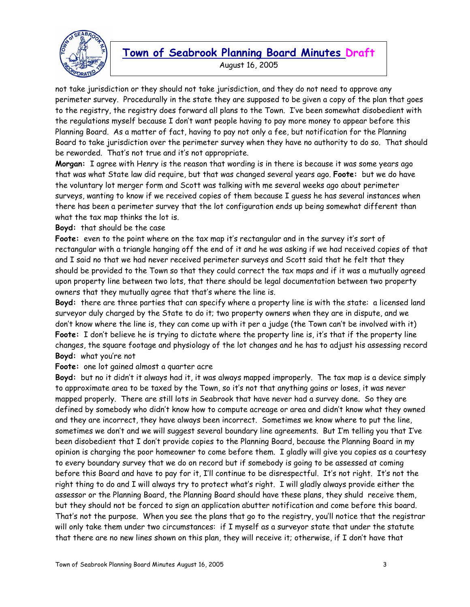

August 16, 2005

not take jurisdiction or they should not take jurisdiction, and they do not need to approve any perimeter survey. Procedurally in the state they are supposed to be given a copy of the plan that goes to the registry, the registry does forward all plans to the Town. I've been somewhat disobedient with the regulations myself because I don't want people having to pay more money to appear before this Planning Board. As a matter of fact, having to pay not only a fee, but notification for the Planning Board to take jurisdiction over the perimeter survey when they have no authority to do so. That should be reworded. That's not true and it's not appropriate.

**Morgan:** I agree with Henry is the reason that wording is in there is because it was some years ago that was what State law did require, but that was changed several years ago. **Foote:** but we do have the voluntary lot merger form and Scott was talking with me several weeks ago about perimeter surveys, wanting to know if we received copies of them because I guess he has several instances when there has been a perimeter survey that the lot configuration ends up being somewhat different than what the tax map thinks the lot is.

**Boyd:** that should be the case

**Foote:** even to the point where on the tax map it's rectangular and in the survey it's sort of rectangular with a triangle hanging off the end of it and he was asking if we had received copies of that and I said no that we had never received perimeter surveys and Scott said that he felt that they should be provided to the Town so that they could correct the tax maps and if it was a mutually agreed upon property line between two lots, that there should be legal documentation between two property owners that they mutually agree that that's where the line is.

**Boyd:** there are three parties that can specify where a property line is with the state: a licensed land surveyor duly charged by the State to do it; two property owners when they are in dispute, and we don't know where the line is, they can come up with it per a judge (the Town can't be involved with it) **Foote:** I don't believe he is trying to dictate where the property line is, it's that if the property line changes, the square footage and physiology of the lot changes and he has to adjust his assessing record **Boyd:** what you're not

**Foote:** one lot gained almost a quarter acre

**Boyd:** but no it didn't it always had it, it was always mapped improperly. The tax map is a device simply to approximate area to be taxed by the Town, so it's not that anything gains or loses, it was never mapped properly. There are still lots in Seabrook that have never had a survey done. So they are defined by somebody who didn't know how to compute acreage or area and didn't know what they owned and they are incorrect, they have always been incorrect. Sometimes we know where to put the line, sometimes we don't and we will suggest several boundary line agreements. But I'm telling you that I've been disobedient that I don't provide copies to the Planning Board, because the Planning Board in my opinion is charging the poor homeowner to come before them. I gladly will give you copies as a courtesy to every boundary survey that we do on record but if somebody is going to be assessed at coming before this Board and have to pay for it, I'll continue to be disrespectful. It's not right. It's not the right thing to do and I will always try to protect what's right. I will gladly always provide either the assessor or the Planning Board, the Planning Board should have these plans, they shuld receive them, but they should not be forced to sign an application abutter notification and come before this board. That's not the purpose. When you see the plans that go to the registry, you'll notice that the registrar will only take them under two circumstances: if I myself as a surveyor state that under the statute that there are no new lines shown on this plan, they will receive it; otherwise, if I don't have that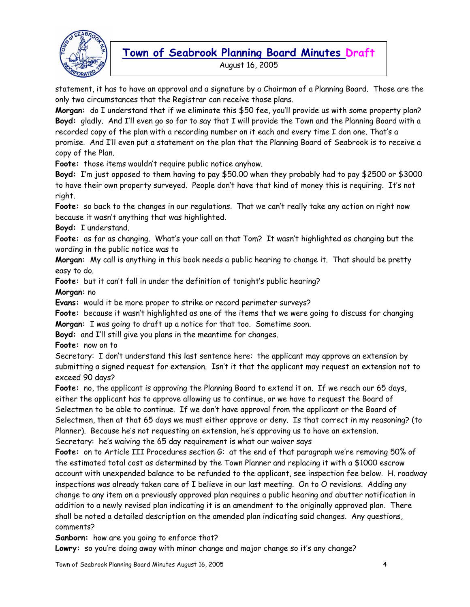

August 16, 2005

statement, it has to have an approval and a signature by a Chairman of a Planning Board. Those are the only two circumstances that the Registrar can receive those plans.

**Morgan:** do I understand that if we eliminate this \$50 fee, you'll provide us with some property plan? **Boyd:** gladly. And I'll even go so far to say that I will provide the Town and the Planning Board with a recorded copy of the plan with a recording number on it each and every time I don one. That's a promise. And I'll even put a statement on the plan that the Planning Board of Seabrook is to receive a copy of the Plan.

**Foote:** those items wouldn't require public notice anyhow.

**Boyd:** I'm just opposed to them having to pay \$50.00 when they probably had to pay \$2500 or \$3000 to have their own property surveyed. People don't have that kind of money this is requiring. It's not right.

**Foote:** so back to the changes in our regulations. That we can't really take any action on right now because it wasn't anything that was highlighted.

**Boyd:** I understand.

**Foote:** as far as changing. What's your call on that Tom? It wasn't highlighted as changing but the wording in the public notice was to

**Morgan:** My call is anything in this book needs a public hearing to change it. That should be pretty easy to do.

**Foote:** but it can't fall in under the definition of tonight's public hearing?

**Morgan:** no

**Evans:** would it be more proper to strike or record perimeter surveys?

**Foote:** because it wasn't highlighted as one of the items that we were going to discuss for changing **Morgan:** I was going to draft up a notice for that too. Sometime soon.

**Boyd:** and I'll still give you plans in the meantime for changes.

**Foote:** now on to

Secretary: I don't understand this last sentence here: the applicant may approve an extension by submitting a signed request for extension. Isn't it that the applicant may request an extension not to exceed 90 days?

**Foote:** no, the applicant is approving the Planning Board to extend it on. If we reach our 65 days, either the applicant has to approve allowing us to continue, or we have to request the Board of Selectmen to be able to continue. If we don't have approval from the applicant or the Board of Selectmen, then at that 65 days we must either approve or deny. Is that correct in my reasoning? (to Planner). Because he's not requesting an extension, he's approving us to have an extension. Secretary: he's waiving the 65 day requirement is what our waiver says

**Foote:** on to Article III Procedures section G: at the end of that paragraph we're removing 50% of the estimated total cost as determined by the Town Planner and replacing it with a \$1000 escrow account with unexpended balance to be refunded to the applicant, see inspection fee below. H. roadway inspections was already taken care of I believe in our last meeting. On to O revisions. Adding any change to any item on a previously approved plan requires a public hearing and abutter notification in addition to a newly revised plan indicating it is an amendment to the originally approved plan. There shall be noted a detailed description on the amended plan indicating said changes. Any questions, comments?

**Sanborn:** how are you going to enforce that?

Lowry: so you're doing away with minor change and major change so it's any change?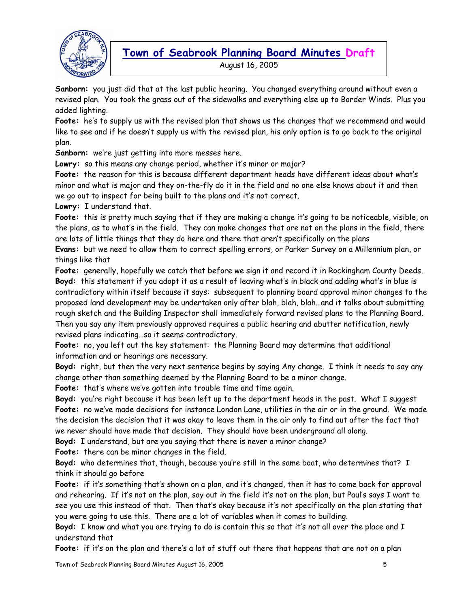

August 16, 2005

**Sanborn:** you just did that at the last public hearing. You changed everything around without even a revised plan. You took the grass out of the sidewalks and everything else up to Border Winds. Plus you added lighting.

**Foote:** he's to supply us with the revised plan that shows us the changes that we recommend and would like to see and if he doesn't supply us with the revised plan, his only option is to go back to the original plan.

**Sanborn:** we're just getting into more messes here.

**Lowry:** so this means any change period, whether it's minor or major?

**Foote:** the reason for this is because different department heads have different ideas about what's minor and what is major and they on-the-fly do it in the field and no one else knows about it and then we go out to inspect for being built to the plans and it's not correct.

**Lowry:** I understand that.

**Foote:** this is pretty much saying that if they are making a change it's going to be noticeable, visible, on the plans, as to what's in the field. They can make changes that are not on the plans in the field, there are lots of little things that they do here and there that aren't specifically on the plans

**Evans:** but we need to allow them to correct spelling errors, or Parker Survey on a Millennium plan, or things like that

**Foote:** generally, hopefully we catch that before we sign it and record it in Rockingham County Deeds. **Boyd:** this statement if you adopt it as a result of leaving what's in black and adding what's in blue is contradictory within itself because it says: subsequent to planning board approval minor changes to the proposed land development may be undertaken only after blah, blah, blah…and it talks about submitting rough sketch and the Building Inspector shall immediately forward revised plans to the Planning Board. Then you say any item previously approved requires a public hearing and abutter notification, newly revised plans indicating…so it seems contradictory.

**Foote:** no, you left out the key statement: the Planning Board may determine that additional information and or hearings are necessary.

**Boyd:** right, but then the very next sentence begins by saying Any change. I think it needs to say any change other than something deemed by the Planning Board to be a minor change.

Foote: that's where we've gotten into trouble time and time again.

**Boyd:** you're right because it has been left up to the department heads in the past. What I suggest **Foote:** no we've made decisions for instance London Lane, utilities in the air or in the ground. We made the decision the decision that it was okay to leave them in the air only to find out after the fact that we never should have made that decision. They should have been underground all along.

**Boyd:** I understand, but are you saying that there is never a minor change?

**Foote:** there can be minor changes in the field.

**Boyd:** who determines that, though, because you're still in the same boat, who determines that? I think it should go before

**Foote:** if it's something that's shown on a plan, and it's changed, then it has to come back for approval and rehearing. If it's not on the plan, say out in the field it's not on the plan, but Paul's says I want to see you use this instead of that. Then that's okay because it's not specifically on the plan stating that you were going to use this. There are a lot of variables when it comes to building.

**Boyd:** I know and what you are trying to do is contain this so that it's not all over the place and I understand that

**Foote:** if it's on the plan and there's a lot of stuff out there that happens that are not on a plan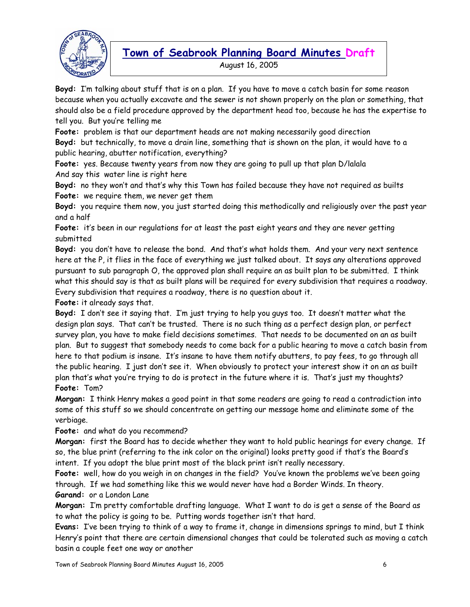

August 16, 2005

**Boyd:** I'm talking about stuff that is on a plan. If you have to move a catch basin for some reason because when you actually excavate and the sewer is not shown properly on the plan or something, that should also be a field procedure approved by the department head too, because he has the expertise to tell you. But you're telling me

**Foote:** problem is that our department heads are not making necessarily good direction **Boyd:** but technically, to move a drain line, something that is shown on the plan, it would have to a public hearing, abutter notification, everything?

**Foote:** yes. Because twenty years from now they are going to pull up that plan D/lalala And say this water line is right here

**Boyd:** no they won't and that's why this Town has failed because they have not required as builts **Foote:** we require them, we never get them

**Boyd:** you require them now, you just started doing this methodically and religiously over the past year and a half

**Foote:** it's been in our regulations for at least the past eight years and they are never getting submitted

**Boyd:** you don't have to release the bond. And that's what holds them. And your very next sentence here at the P, it flies in the face of everything we just talked about. It says any alterations approved pursuant to sub paragraph O, the approved plan shall require an as built plan to be submitted. I think what this should say is that as built plans will be required for every subdivision that requires a roadway. Every subdivision that requires a roadway, there is no question about it.

**Foote:** it already says that.

**Boyd:** I don't see it saying that. I'm just trying to help you guys too. It doesn't matter what the design plan says. That can't be trusted. There is no such thing as a perfect design plan, or perfect survey plan, you have to make field decisions sometimes. That needs to be documented on an as built plan. But to suggest that somebody needs to come back for a public hearing to move a catch basin from here to that podium is insane. It's insane to have them notify abutters, to pay fees, to go through all the public hearing. I just don't see it. When obviously to protect your interest show it on an as built plan that's what you're trying to do is protect in the future where it is. That's just my thoughts? **Foote:** Tom?

**Morgan:** I think Henry makes a good point in that some readers are going to read a contradiction into some of this stuff so we should concentrate on getting our message home and eliminate some of the verbiage.

**Foote:** and what do you recommend?

**Morgan:** first the Board has to decide whether they want to hold public hearings for every change. If so, the blue print (referring to the ink color on the original) looks pretty good if that's the Board's intent. If you adopt the blue print most of the black print isn't really necessary.

**Foote:** well, how do you weigh in on changes in the field? You've known the problems we've been going through. If we had something like this we would never have had a Border Winds. In theory. **Garand:** or a London Lane

**Morgan:** I'm pretty comfortable drafting language. What I want to do is get a sense of the Board as to what the policy is going to be. Putting words together isn't that hard.

**Evans:** I've been trying to think of a way to frame it, change in dimensions springs to mind, but I think Henry's point that there are certain dimensional changes that could be tolerated such as moving a catch basin a couple feet one way or another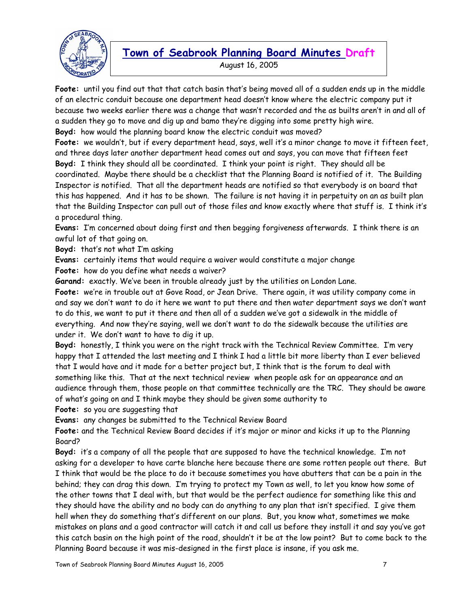

August 16, 2005

**Foote:** until you find out that that catch basin that's being moved all of a sudden ends up in the middle of an electric conduit because one department head doesn't know where the electric company put it because two weeks earlier there was a change that wasn't recorded and the as builts aren't in and all of a sudden they go to move and dig up and bamo they're digging into some pretty high wire. **Boyd:** how would the planning board know the electric conduit was moved?

**Foote:** we wouldn't, but if every department head, says, well it's a minor change to move it fifteen feet, and three days later another department head comes out and says, you can move that fifteen feet **Boyd:** I think they should all be coordinated. I think your point is right. They should all be coordinated. Maybe there should be a checklist that the Planning Board is notified of it. The Building Inspector is notified. That all the department heads are notified so that everybody is on board that this has happened. And it has to be shown. The failure is not having it in perpetuity on an as built plan that the Building Inspector can pull out of those files and know exactly where that stuff is. I think it's a procedural thing.

**Evans:** I'm concerned about doing first and then begging forgiveness afterwards. I think there is an awful lot of that going on.

**Boyd:** that's not what I'm asking

**Evans:** certainly items that would require a waiver would constitute a major change

**Foote:** how do you define what needs a waiver?

**Garand:** exactly. We've been in trouble already just by the utilities on London Lane.

**Foote:** we're in trouble out at Gove Road, or Jean Drive. There again, it was utility company come in and say we don't want to do it here we want to put there and then water department says we don't want to do this, we want to put it there and then all of a sudden we've got a sidewalk in the middle of everything. And now they're saying, well we don't want to do the sidewalk because the utilities are under it. We don't want to have to dig it up.

**Boyd:** honestly, I think you were on the right track with the Technical Review Committee. I'm very happy that I attended the last meeting and I think I had a little bit more liberty than I ever believed that I would have and it made for a better project but, I think that is the forum to deal with something like this. That at the next technical review when people ask for an appearance and an audience through them, those people on that committee technically are the TRC. They should be aware of what's going on and I think maybe they should be given some authority to

**Foote:** so you are suggesting that

**Evans:** any changes be submitted to the Technical Review Board

**Foote:** and the Technical Review Board decides if it's major or minor and kicks it up to the Planning Board?

**Boyd:** it's a company of all the people that are supposed to have the technical knowledge. I'm not asking for a developer to have carte blanche here because there are some rotten people out there. But I think that would be the place to do it because sometimes you have abutters that can be a pain in the behind; they can drag this down. I'm trying to protect my Town as well, to let you know how some of the other towns that I deal with, but that would be the perfect audience for something like this and they should have the ability and no body can do anything to any plan that isn't specified. I give them hell when they do something that's different on our plans. But, you know what, sometimes we make mistakes on plans and a good contractor will catch it and call us before they install it and say you've got this catch basin on the high point of the road, shouldn't it be at the low point? But to come back to the Planning Board because it was mis-designed in the first place is insane, if you ask me.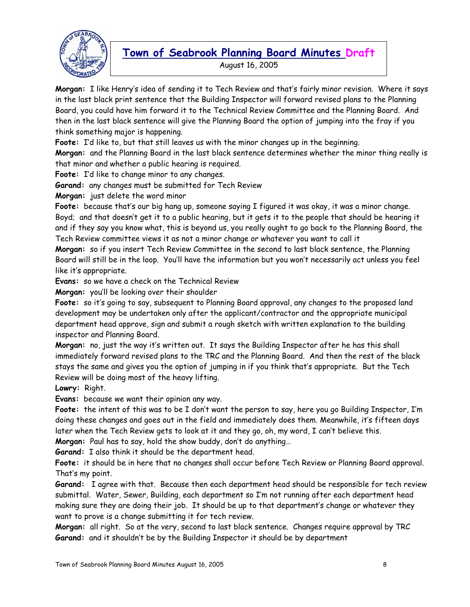

August 16, 2005

**Morgan:** I like Henry's idea of sending it to Tech Review and that's fairly minor revision. Where it says in the last black print sentence that the Building Inspector will forward revised plans to the Planning Board, you could have him forward it to the Technical Review Committee and the Planning Board. And then in the last black sentence will give the Planning Board the option of jumping into the fray if you think something major is happening.

**Foote:** I'd like to, but that still leaves us with the minor changes up in the beginning.

**Morgan:** and the Planning Board in the last black sentence determines whether the minor thing really is that minor and whether a public hearing is required.

**Foote:** I'd like to change minor to any changes.

**Garand:** any changes must be submitted for Tech Review

**Morgan:** just delete the word minor

**Foote:** because that's our big hang up, someone saying I figured it was okay, it was a minor change. Boyd; and that doesn't get it to a public hearing, but it gets it to the people that should be hearing it and if they say you know what, this is beyond us, you really ought to go back to the Planning Board, the Tech Review committee views it as not a minor change or whatever you want to call it

**Morgan:** so if you insert Tech Review Committee in the second to last black sentence, the Planning Board will still be in the loop. You'll have the information but you won't necessarily act unless you feel like it's appropriate.

**Evans:** so we have a check on the Technical Review

**Morgan:** you'll be looking over their shoulder

**Foote:** so it's going to say, subsequent to Planning Board approval, any changes to the proposed land development may be undertaken only after the applicant/contractor and the appropriate municipal department head approve, sign and submit a rough sketch with written explanation to the building inspector and Planning Board.

**Morgan:** no, just the way it's written out. It says the Building Inspector after he has this shall immediately forward revised plans to the TRC and the Planning Board. And then the rest of the black stays the same and gives you the option of jumping in if you think that's appropriate. But the Tech Review will be doing most of the heavy lifting.

**Lowry:** Right.

**Evans:** because we want their opinion any way.

**Foote:** the intent of this was to be I don't want the person to say, here you go Building Inspector, I'm doing these changes and goes out in the field and immediately does them. Meanwhile, it's fifteen days later when the Tech Review gets to look at it and they go, oh, my word, I can't believe this.

**Morgan:** Paul has to say, hold the show buddy, don't do anything…

**Garand:** I also think it should be the department head.

**Foote:** it should be in here that no changes shall occur before Tech Review or Planning Board approval. That's my point.

**Garand:** I agree with that. Because then each department head should be responsible for tech review submittal. Water, Sewer, Building, each department so I'm not running after each department head making sure they are doing their job. It should be up to that department's change or whatever they want to prove is a change submitting it for tech review.

**Morgan:** all right. So at the very, second to last black sentence. Changes require approval by TRC **Garand:** and it shouldn't be by the Building Inspector it should be by department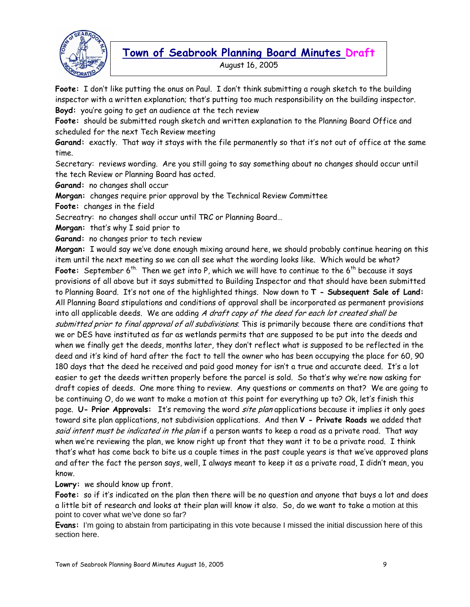

August 16, 2005

**Foote:** I don't like putting the onus on Paul. I don't think submitting a rough sketch to the building inspector with a written explanation; that's putting too much responsibility on the building inspector. **Boyd:** you're going to get an audience at the tech review

**Foote:** should be submitted rough sketch and written explanation to the Planning Board Office and scheduled for the next Tech Review meeting

**Garand:** exactly. That way it stays with the file permanently so that it's not out of office at the same time.

Secretary: reviews wording. Are you still going to say something about no changes should occur until the tech Review or Planning Board has acted.

**Garand:** no changes shall occur

**Morgan:** changes require prior approval by the Technical Review Committee

**Foote:** changes in the field

Secreatry: no changes shall occur until TRC or Planning Board…

**Morgan:** that's why I said prior to

**Garand:** no changes prior to tech review

**Morgan:** I would say we've done enough mixing around here, we should probably continue hearing on this item until the next meeting so we can all see what the wording looks like. Which would be what? Foote: September 6<sup>th.</sup> Then we get into P, which we will have to continue to the 6<sup>th</sup> because it says provisions of all above but it says submitted to Building Inspector and that should have been submitted to Planning Board. It's not one of the highlighted things. Now down to **T - Subsequent Sale of Land:**  All Planning Board stipulations and conditions of approval shall be incorporated as permanent provisions into all applicable deeds. We are adding A draft copy of the deed for each lot created shall be submitted prior to final approval of all subdivisions. This is primarily because there are conditions that we or DES have instituted as far as wetlands permits that are supposed to be put into the deeds and when we finally get the deeds, months later, they don't reflect what is supposed to be reflected in the deed and it's kind of hard after the fact to tell the owner who has been occupying the place for 60, 90 180 days that the deed he received and paid good money for isn't a true and accurate deed. It's a lot easier to get the deeds written properly before the parcel is sold. So that's why we're now asking for draft copies of deeds. One more thing to review. Any questions or comments on that? We are going to be continuing O, do we want to make a motion at this point for everything up to? Ok, let's finish this page. **U- Prior Approvals:** It's removing the word site plan applications because it implies it only goes toward site plan applications, not subdivision applications. And then **V - Private Roads** we added that said intent must be indicated in the plan if a person wants to keep a road as a private road. That way when we're reviewing the plan, we know right up front that they want it to be a private road. I think that's what has come back to bite us a couple times in the past couple years is that we've approved plans and after the fact the person says, well, I always meant to keep it as a private road, I didn't mean, you know.

**Lowry:** we should know up front.

**Foote:** so if it's indicated on the plan then there will be no question and anyone that buys a lot and does a little bit of research and looks at their plan will know it also. So, do we want to take a motion at this point to cover what we've done so far?

**Evans:** I'm going to abstain from participating in this vote because I missed the initial discussion here of this section here.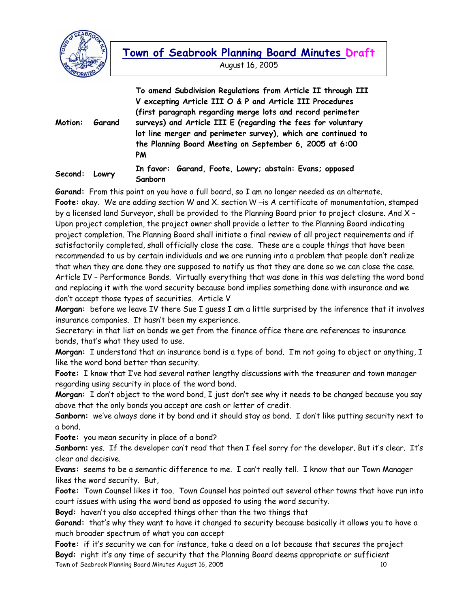

**Motion: Garand To amend Subdivision Regulations from Article II through III V excepting Article III O & P and Article III Procedures (first paragraph regarding merge lots and record perimeter surveys) and Article III E (regarding the fees for voluntary lot line merger and perimeter survey), which are continued to the Planning Board Meeting on September 6, 2005 at 6:00 PM Second: Lowry In favor: Garand, Foote, Lowry; abstain: Evans; opposed Sanborn** 

**Garand:** From this point on you have a full board, so I am no longer needed as an alternate. **Foote:** okay. We are adding section W and X. section W –is A certificate of monumentation, stamped by a licensed land Surveyor, shall be provided to the Planning Board prior to project closure. And X – Upon project completion, the project owner shall provide a letter to the Planning Board indicating project completion. The Planning Board shall initiate a final review of all project requirements and if satisfactorily completed, shall officially close the case. These are a couple things that have been recommended to us by certain individuals and we are running into a problem that people don't realize that when they are done they are supposed to notify us that they are done so we can close the case. Article IV – Performance Bonds. Virtually everything that was done in this was deleting the word bond and replacing it with the word security because bond implies something done with insurance and we don't accept those types of securities. Article V

**Morgan:** before we leave IV there Sue I guess I am a little surprised by the inference that it involves insurance companies. It hasn't been my experience.

Secretary: in that list on bonds we get from the finance office there are references to insurance bonds, that's what they used to use.

**Morgan:** I understand that an insurance bond is a type of bond. I'm not going to object or anything, I like the word bond better than security.

**Foote:** I know that I've had several rather lengthy discussions with the treasurer and town manager regarding using security in place of the word bond.

**Morgan:** I don't object to the word bond, I just don't see why it needs to be changed because you say above that the only bonds you accept are cash or letter of credit.

**Sanborn:** we've always done it by bond and it should stay as bond. I don't like putting security next to a bond.

**Foote:** you mean security in place of a bond?

**Sanborn:** yes. If the developer can't read that then I feel sorry for the developer. But it's clear. It's clear and decisive.

**Evans:** seems to be a semantic difference to me. I can't really tell. I know that our Town Manager likes the word security. But,

**Foote:** Town Counsel likes it too. Town Counsel has pointed out several other towns that have run into court issues with using the word bond as opposed to using the word security.

**Boyd:** haven't you also accepted things other than the two things that

**Garand:** that's why they want to have it changed to security because basically it allows you to have a much broader spectrum of what you can accept

Town of Seabrook Planning Board Minutes August 16, 2005 10 **Foote:** if it's security we can for instance, take a deed on a lot because that secures the project **Boyd:** right it's any time of security that the Planning Board deems appropriate or sufficient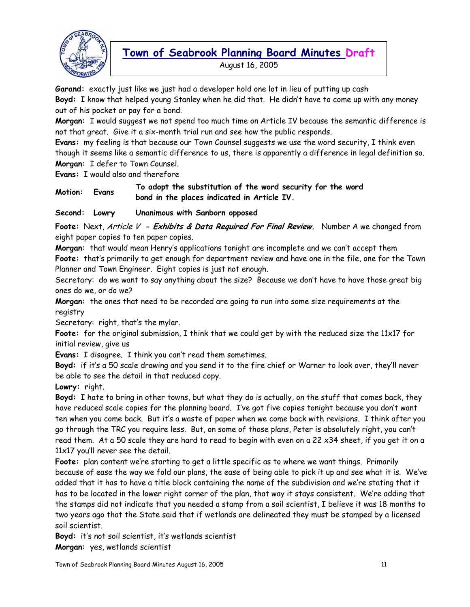

August 16, 2005

**Garand:** exactly just like we just had a developer hold one lot in lieu of putting up cash **Boyd:** I know that helped young Stanley when he did that. He didn't have to come up with any money out of his pocket or pay for a bond.

**Morgan:** I would suggest we not spend too much time on Article IV because the semantic difference is not that great. Give it a six-month trial run and see how the public responds.

**Evans:** my feeling is that because our Town Counsel suggests we use the word security, I think even though it seems like a semantic difference to us, there is apparently a difference in legal definition so. **Morgan:** I defer to Town Counsel.

**Evans:** I would also and therefore

**Motion: Evans To adopt the substitution of the word security for the word bond in the places indicated in Article IV.** 

**Second: Lowry Unanimous with Sanborn opposed** 

**Foote:** Next, Article V **- Exhibits & Data Required For Final Review.** Number A we changed from eight paper copies to ten paper copies.

**Morgan:** that would mean Henry's applications tonight are incomplete and we can't accept them **Foote:** that's primarily to get enough for department review and have one in the file, one for the Town Planner and Town Engineer. Eight copies is just not enough.

Secretary: do we want to say anything about the size? Because we don't have to have those great big ones do we, or do we?

**Morgan:** the ones that need to be recorded are going to run into some size requirements at the registry

Secretary: right, that's the mylar.

**Foote:** for the original submission, I think that we could get by with the reduced size the 11x17 for initial review, give us

**Evans:** I disagree. I think you can't read them sometimes.

**Boyd:** if it's a 50 scale drawing and you send it to the fire chief or Warner to look over, they'll never be able to see the detail in that reduced copy.

**Lowry:** right.

**Boyd:** I hate to bring in other towns, but what they do is actually, on the stuff that comes back, they have reduced scale copies for the planning board. I've got five copies tonight because you don't want ten when you come back. But it's a waste of paper when we come back with revisions. I think after you go through the TRC you require less. But, on some of those plans, Peter is absolutely right, you can't read them. At a 50 scale they are hard to read to begin with even on a 22 x34 sheet, if you get it on a 11x17 you'll never see the detail.

**Foote:** plan content we're starting to get a little specific as to where we want things. Primarily because of ease the way we fold our plans, the ease of being able to pick it up and see what it is. We've added that it has to have a title block containing the name of the subdivision and we're stating that it has to be located in the lower right corner of the plan, that way it stays consistent. We're adding that the stamps did not indicate that you needed a stamp from a soil scientist, I believe it was 18 months to two years ago that the State said that if wetlands are delineated they must be stamped by a licensed soil scientist.

**Boyd:** it's not soil scientist, it's wetlands scientist **Morgan:** yes, wetlands scientist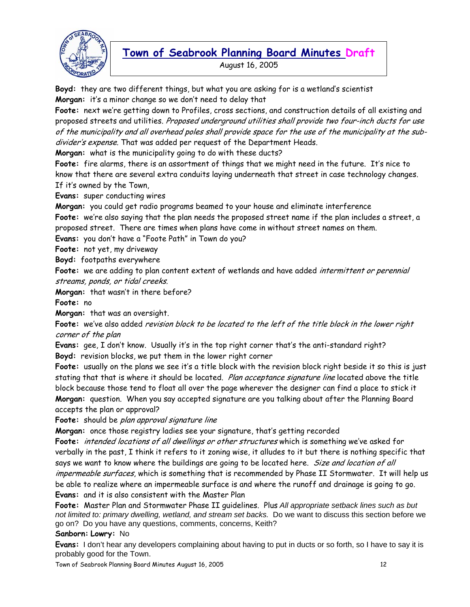

August 16, 2005

**Boyd:** they are two different things, but what you are asking for is a wetland's scientist **Morgan:** it's a minor change so we don't need to delay that

**Foote:** next we're getting down to Profiles, cross sections, and construction details of all existing and proposed streets and utilities. Proposed underground utilities shall provide two four-inch ducts for use of the municipality and all overhead poles shall provide space for the use of the municipality at the subdivider's expense. That was added per request of the Department Heads.

**Morgan:** what is the municipality going to do with these ducts?

**Foote:** fire alarms, there is an assortment of things that we might need in the future. It's nice to know that there are several extra conduits laying underneath that street in case technology changes. If it's owned by the Town,

**Evans:** super conducting wires

**Morgan:** you could get radio programs beamed to your house and eliminate interference

**Foote:** we're also saying that the plan needs the proposed street name if the plan includes a street, a proposed street. There are times when plans have come in without street names on them.

**Evans:** you don't have a "Foote Path" in Town do you?

**Foote:** not yet, my driveway

**Boyd:** footpaths everywhere

Foote: we are adding to plan content extent of wetlands and have added intermittent or perennial streams, ponds, or tidal creeks.

**Morgan:** that wasn't in there before?

**Foote:** no

**Morgan:** that was an oversight.

**Foote:** we've also added revision block to be located to the left of the title block in the lower right corner of the plan

**Evans:** gee, I don't know. Usually it's in the top right corner that's the anti-standard right? **Boyd:** revision blocks, we put them in the lower right corner

**Foote:** usually on the plans we see it's a title block with the revision block right beside it so this is just stating that that is where it should be located. Plan acceptance signature line located above the title block because those tend to float all over the page wherever the designer can find a place to stick it **Morgan:** question. When you say accepted signature are you talking about after the Planning Board accepts the plan or approval?

**Foote:** should be plan approval signature line

**Morgan:** once those registry ladies see your signature, that's getting recorded

**Foote:** intended locations of all dwellings or other structures which is something we've asked for verbally in the past, I think it refers to it zoning wise, it alludes to it but there is nothing specific that says we want to know where the buildings are going to be located here. Size and location of all impermeable surfaces, which is something that is recommended by Phase II Stormwater. It will help us be able to realize where an impermeable surface is and where the runoff and drainage is going to go.

**Evans:** and it is also consistent with the Master Plan

**Foote:** Master Plan and Stormwater Phase II guidelines. Plus *All appropriate setback lines such as but not limited to: primary dwelling, wetland, and stream set backs.* Do we want to discuss this section before we go on? Do you have any questions, comments, concerns, Keith?

#### **Sanborn: Lowry:** No

**Evans:** I don't hear any developers complaining about having to put in ducts or so forth, so I have to say it is probably good for the Town.

Town of Seabrook Planning Board Minutes August 16, 2005 12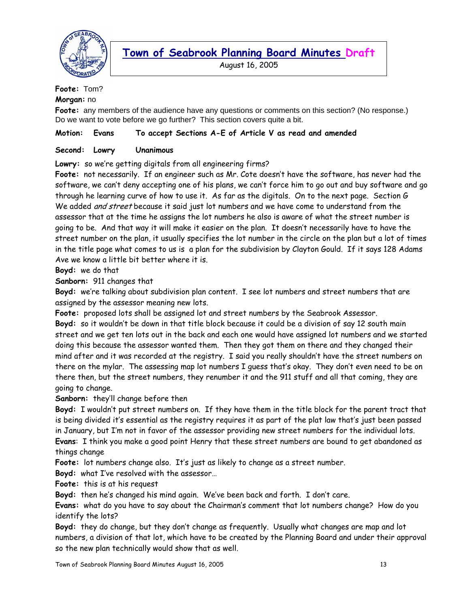

August 16, 2005

### **Foote:** Tom?

#### **Morgan:** no

**Foote:** any members of the audience have any questions or comments on this section? (No response.) Do we want to vote before we go further? This section covers quite a bit.

#### **Motion: Evans To accept Sections A-E of Article V as read and amended**

#### **Second: Lowry Unanimous**

#### **Lowry:** so we're getting digitals from all engineering firms?

**Foote:** not necessarily. If an engineer such as Mr. Cote doesn't have the software, has never had the software, we can't deny accepting one of his plans, we can't force him to go out and buy software and go through he learning curve of how to use it. As far as the digitals. On to the next page. Section G We added *and street* because it said just lot numbers and we have come to understand from the assessor that at the time he assigns the lot numbers he also is aware of what the street number is going to be. And that way it will make it easier on the plan. It doesn't necessarily have to have the street number on the plan, it usually specifies the lot number in the circle on the plan but a lot of times in the title page what comes to us is a plan for the subdivision by Clayton Gould. If it says 128 Adams Ave we know a little bit better where it is.

**Boyd:** we do that

**Sanborn:** 911 changes that

**Boyd:** we're talking about subdivision plan content. I see lot numbers and street numbers that are assigned by the assessor meaning new lots.

**Foote:** proposed lots shall be assigned lot and street numbers by the Seabrook Assessor.

**Boyd:** so it wouldn't be down in that title block because it could be a division of say 12 south main street and we get ten lots out in the back and each one would have assigned lot numbers and we started doing this because the assessor wanted them. Then they got them on there and they changed their mind after and it was recorded at the registry. I said you really shouldn't have the street numbers on there on the mylar. The assessing map lot numbers I guess that's okay. They don't even need to be on there then, but the street numbers, they renumber it and the 911 stuff and all that coming, they are going to change.

**Sanborn:** they'll change before then

**Boyd:** I wouldn't put street numbers on. If they have them in the title block for the parent tract that is being divided it's essential as the registry requires it as part of the plat law that's just been passed in January, but I'm not in favor of the assessor providing new street numbers for the individual lots. **Evans**: I think you make a good point Henry that these street numbers are bound to get abandoned as things change

**Foote:** lot numbers change also. It's just as likely to change as a street number.

**Boyd:** what I've resolved with the assessor…

**Foote:** this is at his request

**Boyd:** then he's changed his mind again. We've been back and forth. I don't care.

**Evans:** what do you have to say about the Chairman's comment that lot numbers change? How do you identify the lots?

**Boyd:** they do change, but they don't change as frequently. Usually what changes are map and lot numbers, a division of that lot, which have to be created by the Planning Board and under their approval so the new plan technically would show that as well.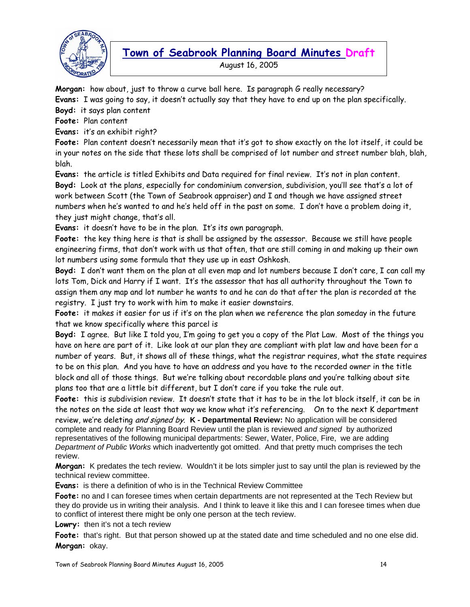

August 16, 2005

**Morgan:** how about, just to throw a curve ball here. Is paragraph G really necessary?

**Evans:** I was going to say, it doesn't actually say that they have to end up on the plan specifically.

**Boyd:** it says plan content

**Foote:** Plan content

**Evans:** it's an exhibit right?

**Foote:** Plan content doesn't necessarily mean that it's got to show exactly on the lot itself, it could be in your notes on the side that these lots shall be comprised of lot number and street number blah, blah, blah.

**Evans:** the article is titled Exhibits and Data required for final review. It's not in plan content. **Boyd:** Look at the plans, especially for condominium conversion, subdivision, you'll see that's a lot of work between Scott (the Town of Seabrook appraiser) and I and though we have assigned street numbers when he's wanted to and he's held off in the past on some. I don't have a problem doing it, they just might change, that's all.

**Evans:** it doesn't have to be in the plan. It's its own paragraph.

**Foote:** the key thing here is that is shall be assigned by the assessor. Because we still have people engineering firms, that don't work with us that often, that are still coming in and making up their own lot numbers using some formula that they use up in east Oshkosh.

**Boyd:** I don't want them on the plan at all even map and lot numbers because I don't care, I can call my lots Tom, Dick and Harry if I want. It's the assessor that has all authority throughout the Town to assign them any map and lot number he wants to and he can do that after the plan is recorded at the registry. I just try to work with him to make it easier downstairs.

**Foote:** it makes it easier for us if it's on the plan when we reference the plan someday in the future that we know specifically where this parcel is

**Boyd:** I agree. But like I told you, I'm going to get you a copy of the Plat Law. Most of the things you have on here are part of it. Like look at our plan they are compliant with plat law and have been for a number of years. But, it shows all of these things, what the registrar requires, what the state requires to be on this plan. And you have to have an address and you have to the recorded owner in the title block and all of those things. But we're talking about recordable plans and you're talking about site plans too that are a little bit different, but I don't care if you take the rule out.

**Foote:** this is subdivision review. It doesn't state that it has to be in the lot block itself, it can be in the notes on the side at least that way we know what it's referencing. On to the next K department

review, we're deleting and signed by. **K - Departmental Review:** No application will be considered complete and ready for Planning Board Review until the plan is reviewed *and signed* by authorized representatives of the following municipal departments: Sewer, Water, Police, Fire, we are adding *Department of Public Works* which inadvertently got omitted. And that pretty much comprises the tech review.

**Morgan:** K predates the tech review. Wouldn't it be lots simpler just to say until the plan is reviewed by the technical review committee.

**Evans:** is there a definition of who is in the Technical Review Committee

**Foote:** no and I can foresee times when certain departments are not represented at the Tech Review but they do provide us in writing their analysis. And I think to leave it like this and I can foresee times when due to conflict of interest there might be only one person at the tech review.

**Lowry:** then it's not a tech review

**Foote:** that's right. But that person showed up at the stated date and time scheduled and no one else did. **Morgan:** okay.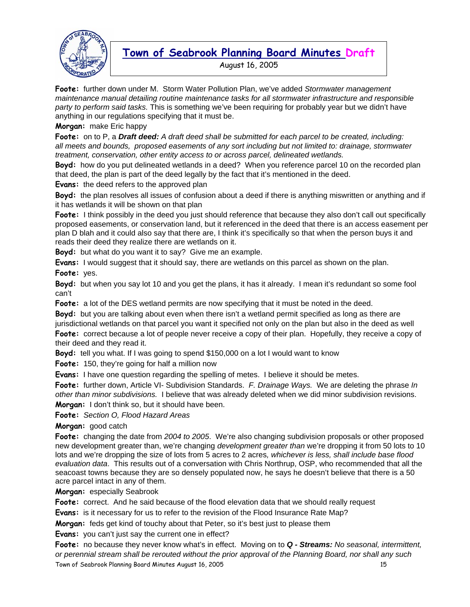

August 16, 2005

**Foote:** further down under M. Storm Water Pollution Plan, we've added *Stormwater management maintenance manual detailing routine maintenance tasks for all stormwater infrastructure and responsible party to perform said tasks.* This is something we've been requiring for probably year but we didn't have anything in our regulations specifying that it must be.

**Morgan:** make Eric happy

**Foote:** on to P, a *Draft deed: A draft deed shall be submitted for each parcel to be created, including: all meets and bounds, proposed easements of any sort including but not limited to: drainage, stormwater treatment, conservation, other entity access to or across parcel, delineated wetlands.* 

**Boyd:** how do you put delineated wetlands in a deed? When you reference parcel 10 on the recorded plan that deed, the plan is part of the deed legally by the fact that it's mentioned in the deed.

**Evans:** the deed refers to the approved plan

**Boyd:** the plan resolves all issues of confusion about a deed if there is anything miswritten or anything and if it has wetlands it will be shown on that plan

**Foote:** I think possibly in the deed you just should reference that because they also don't call out specifically proposed easements, or conservation land, but it referenced in the deed that there is an access easement per plan D blah and it could also say that there are, I think it's specifically so that when the person buys it and reads their deed they realize there are wetlands on it.

**Boyd:** but what do you want it to say? Give me an example.

**Evans:** I would suggest that it should say, there are wetlands on this parcel as shown on the plan. **Foote:** yes.

**Boyd:** but when you say lot 10 and you get the plans, it has it already. I mean it's redundant so some fool can't

**Foote:** a lot of the DES wetland permits are now specifying that it must be noted in the deed.

**Boyd:** but you are talking about even when there isn't a wetland permit specified as long as there are jurisdictional wetlands on that parcel you want it specified not only on the plan but also in the deed as well

**Foote:** correct because a lot of people never receive a copy of their plan. Hopefully, they receive a copy of their deed and they read it.

**Boyd:** tell you what. If I was going to spend \$150,000 on a lot I would want to know

**Foote:** 150, they're going for half a million now

**Evans:** I have one question regarding the spelling of metes. I believe it should be metes.

**Foote:** further down, Article VI- Subdivision Standards. *F. Drainage Ways.* We are deleting the phrase *In other than minor subdivisions.* I believe that was already deleted when we did minor subdivision revisions. **Morgan:** I don't think so, but it should have been.

**Foote:** *Section O, Flood Hazard Areas* 

**Morgan:** good catch

**Foote:** changing the date from *2004 to 2005*. We're also changing subdivision proposals or other proposed new development greater than, we're changing *development greater than* we're dropping it from 50 lots to 10 lots and we're dropping the size of lots from 5 acres to 2 acres*, whichever is less, shall include base flood evaluation data*. This results out of a conversation with Chris Northrup, OSP, who recommended that all the seacoast towns because they are so densely populated now, he says he doesn't believe that there is a 50 acre parcel intact in any of them.

**Morgan:** especially Seabrook

**Foote:** correct. And he said because of the flood elevation data that we should really request

**Evans:** is it necessary for us to refer to the revision of the Flood Insurance Rate Map?

**Morgan:** feds get kind of touchy about that Peter, so it's best just to please them

**Evans:** you can't just say the current one in effect?

Town of Seabrook Planning Board Minutes August 16, 2005 15 **Foote:** no because they never know what's in effect. Moving on to *Q - Streams: No seasonal, intermittent, or perennial stream shall be rerouted without the prior approval of the Planning Board, nor shall any such*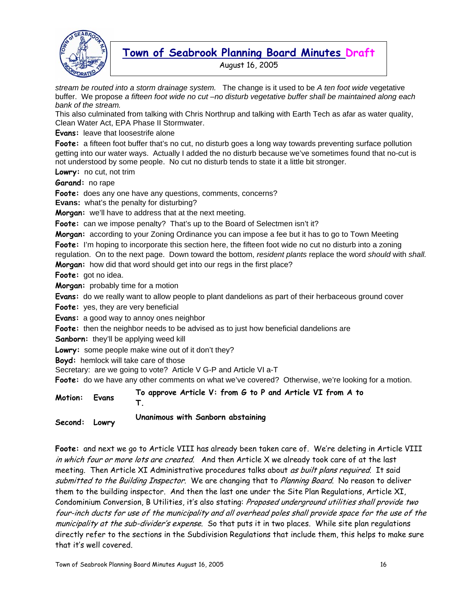

August 16, 2005

*stream be routed into a storm drainage system.* The change is it used to be *A ten foot wide* vegetative buffer. We propose *a fifteen foot wide no cut –no disturb vegetative buffer shall be maintained along each bank of the stream.* 

This also culminated from talking with Chris Northrup and talking with Earth Tech as afar as water quality, Clean Water Act, EPA Phase II Stormwater.

**Evans:** leave that loosestrife alone

**Foote:** a fifteen foot buffer that's no cut, no disturb goes a long way towards preventing surface pollution getting into our water ways. Actually I added the no disturb because we've sometimes found that no-cut is not understood by some people. No cut no disturb tends to state it a little bit stronger.

**Lowry:** no cut, not trim

**Garand:** no rape

**Foote:** does any one have any questions, comments, concerns?

**Evans:** what's the penalty for disturbing?

**Morgan:** we'll have to address that at the next meeting.

Foote: can we impose penalty? That's up to the Board of Selectmen isn't it?

**Morgan:** according to your Zoning Ordinance you can impose a fee but it has to go to Town Meeting

**Foote:** I'm hoping to incorporate this section here, the fifteen foot wide no cut no disturb into a zoning

regulation. On to the next page. Down toward the bottom, *resident plants* replace the word *should* with *shall.*  **Morgan:** how did that word should get into our regs in the first place?

**Foote:** got no idea.

**Morgan:** probably time for a motion

**Evans:** do we really want to allow people to plant dandelions as part of their herbaceous ground cover

**Foote:** yes, they are very beneficial

**Evans:** a good way to annoy ones neighbor

**Foote:** then the neighbor needs to be advised as to just how beneficial dandelions are

**Sanborn:** they'll be applying weed kill

**Lowry:** some people make wine out of it don't they?

**Boyd:** hemlock will take care of those

Secretary: are we going to vote? Article V G-P and Article VI a-T

**Foote:** do we have any other comments on what we've covered? Otherwise, we're looking for a motion.

| To approve Article V: from G to P and Article VI from A to<br>Motion: Evans |  |
|-----------------------------------------------------------------------------|--|
|-----------------------------------------------------------------------------|--|

**Second: Lowry Unanimous with Sanborn abstaining** 

**Foote:** and next we go to Article VIII has already been taken care of. We're deleting in Article VIII in which four or more lots are created. And then Article X we already took care of at the last meeting. Then Article XI Administrative procedures talks about as built plans required. It said submitted to the Building Inspector. We are changing that to Planning Board. No reason to deliver them to the building inspector. And then the last one under the Site Plan Regulations, Article XI, Condominium Conversion, B Utilities, it's also stating: Proposed underground utilities shall provide two four-inch ducts for use of the municipality and all overhead poles shall provide space for the use of the municipality at the sub-divider's expense. So that puts it in two places. While site plan regulations directly refer to the sections in the Subdivision Regulations that include them, this helps to make sure that it's well covered.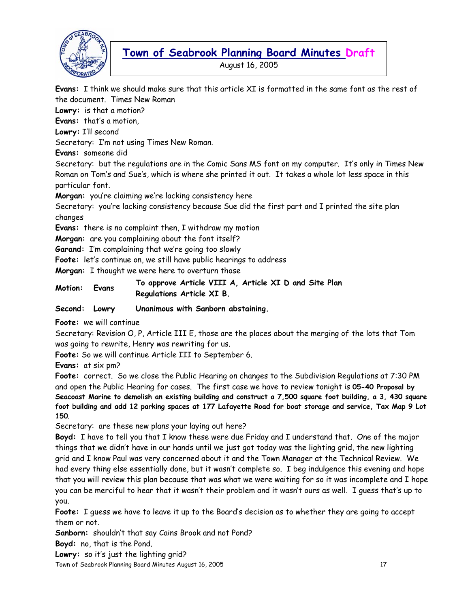

August 16, 2005

**Evans:** I think we should make sure that this article XI is formatted in the same font as the rest of the document. Times New Roman

**Lowry:** is that a motion?

**Evans:** that's a motion,

**Lowry:** I'll second

Secretary: I'm not using Times New Roman.

**Evans:** someone did

Secretary: but the regulations are in the Comic Sans MS font on my computer. It's only in Times New Roman on Tom's and Sue's, which is where she printed it out. It takes a whole lot less space in this particular font.

**Morgan:** you're claiming we're lacking consistency here

Secretary: you're lacking consistency because Sue did the first part and I printed the site plan changes

**Evans:** there is no complaint then, I withdraw my motion

**Morgan:** are you complaining about the font itself?

**Garand:** I'm complaining that we're going too slowly

**Foote:** let's continue on, we still have public hearings to address

**Morgan:** I thought we were here to overturn those

**Motion: Evans To approve Article VIII A, Article XI D and Site Plan Regulations Article XI B.** 

**Second: Lowry Unanimous with Sanborn abstaining.** 

**Foote:** we will continue

Secretary: Revision O, P, Article III E, those are the places about the merging of the lots that Tom was going to rewrite, Henry was rewriting for us.

**Foote:** So we will continue Article III to September 6.

**Evans:** at six pm?

**Foote:** correct. So we close the Public Hearing on changes to the Subdivision Regulations at 7:30 PM and open the Public Hearing for cases. The first case we have to review tonight is **05-40 Proposal by Seacoast Marine to demolish an existing building and construct a 7,500 square foot building, a 3, 430 square foot building and add 12 parking spaces at 177 Lafayette Road for boat storage and service, Tax Map 9 Lot 150**.

Secretary: are these new plans your laying out here?

**Boyd:** I have to tell you that I know these were due Friday and I understand that. One of the major things that we didn't have in our hands until we just got today was the lighting grid, the new lighting grid and I know Paul was very concerned about it and the Town Manager at the Technical Review. We had every thing else essentially done, but it wasn't complete so. I beg indulgence this evening and hope that you will review this plan because that was what we were waiting for so it was incomplete and I hope you can be merciful to hear that it wasn't their problem and it wasn't ours as well. I guess that's up to you.

**Foote:** I guess we have to leave it up to the Board's decision as to whether they are going to accept them or not.

**Sanborn:** shouldn't that say Cains Brook and not Pond?

**Boyd:** no, that is the Pond.

**Lowry:** so it's just the lighting grid?

Town of Seabrook Planning Board Minutes August 16, 2005 17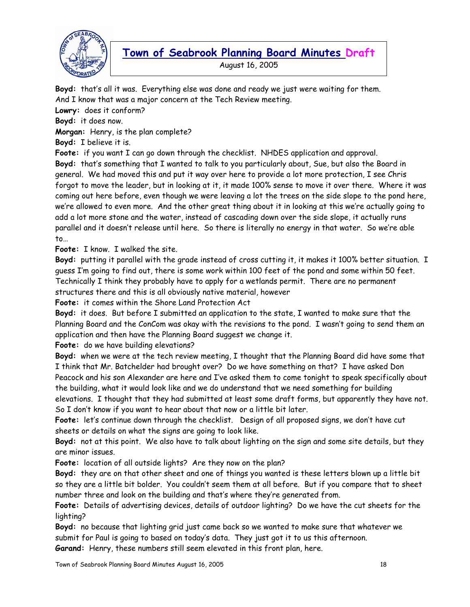

August 16, 2005

**Boyd:** that's all it was. Everything else was done and ready we just were waiting for them. And I know that was a major concern at the Tech Review meeting.

**Lowry:** does it conform?

**Boyd:** it does now.

**Morgan:** Henry, is the plan complete?

**Boyd:** I believe it is.

**Foote:** if you want I can go down through the checklist. NHDES application and approval.

**Boyd:** that's something that I wanted to talk to you particularly about, Sue, but also the Board in general. We had moved this and put it way over here to provide a lot more protection, I see Chris forgot to move the leader, but in looking at it, it made 100% sense to move it over there. Where it was coming out here before, even though we were leaving a lot the trees on the side slope to the pond here, we're allowed to even more. And the other great thing about it in looking at this we're actually going to add a lot more stone and the water, instead of cascading down over the side slope, it actually runs parallel and it doesn't release until here. So there is literally no energy in that water. So we're able to…

**Foote:** I know. I walked the site.

**Boyd:** putting it parallel with the grade instead of cross cutting it, it makes it 100% better situation. I guess I'm going to find out, there is some work within 100 feet of the pond and some within 50 feet. Technically I think they probably have to apply for a wetlands permit. There are no permanent structures there and this is all obviously native material, however

**Foote:** it comes within the Shore Land Protection Act

**Boyd:** it does. But before I submitted an application to the state, I wanted to make sure that the Planning Board and the ConCom was okay with the revisions to the pond. I wasn't going to send them an application and then have the Planning Board suggest we change it.

**Foote:** do we have building elevations?

**Boyd:** when we were at the tech review meeting, I thought that the Planning Board did have some that I think that Mr. Batchelder had brought over? Do we have something on that? I have asked Don Peacock and his son Alexander are here and I've asked them to come tonight to speak specifically about the building, what it would look like and we do understand that we need something for building elevations. I thought that they had submitted at least some draft forms, but apparently they have not. So I don't know if you want to hear about that now or a little bit later.

**Foote:** let's continue down through the checklist. Design of all proposed signs, we don't have cut sheets or details on what the signs are going to look like.

**Boyd:** not at this point. We also have to talk about lighting on the sign and some site details, but they are minor issues.

**Foote:** location of all outside lights? Are they now on the plan?

**Boyd:** they are on that other sheet and one of things you wanted is these letters blown up a little bit so they are a little bit bolder. You couldn't seem them at all before. But if you compare that to sheet number three and look on the building and that's where they're generated from.

**Foote:** Details of advertising devices, details of outdoor lighting? Do we have the cut sheets for the lighting?

**Boyd:** no because that lighting grid just came back so we wanted to make sure that whatever we submit for Paul is going to based on today's data. They just got it to us this afternoon. **Garand:** Henry, these numbers still seem elevated in this front plan, here.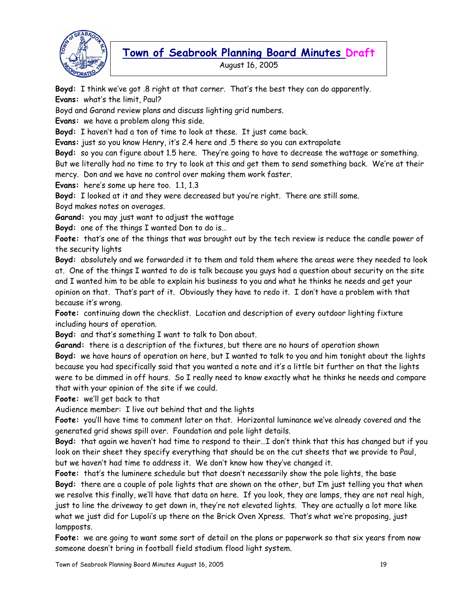

August 16, 2005

**Boyd:** I think we've got .8 right at that corner. That's the best they can do apparently. **Evans:** what's the limit, Paul?

Boyd and Garand review plans and discuss lighting grid numbers.

**Evans:** we have a problem along this side.

**Boyd:** I haven't had a ton of time to look at these. It just came back.

**Evans:** just so you know Henry, it's 2.4 here and .5 there so you can extrapolate

**Boyd:** so you can figure about 1.5 here. They're going to have to decrease the wattage or something.

But we literally had no time to try to look at this and get them to send something back. We're at their mercy. Don and we have no control over making them work faster.

**Evans:** here's some up here too. 1.1, 1.3

**Boyd:** I looked at it and they were decreased but you're right. There are still some.

Boyd makes notes on overages.

**Garand:** you may just want to adjust the wattage

**Boyd:** one of the things I wanted Don to do is…

**Foote:** that's one of the things that was brought out by the tech review is reduce the candle power of the security lights

**Boyd:** absolutely and we forwarded it to them and told them where the areas were they needed to look at. One of the things I wanted to do is talk because you guys had a question about security on the site and I wanted him to be able to explain his business to you and what he thinks he needs and get your opinion on that. That's part of it. Obviously they have to redo it. I don't have a problem with that because it's wrong.

**Foote:** continuing down the checklist. Location and description of every outdoor lighting fixture including hours of operation.

**Boyd:** and that's something I want to talk to Don about.

**Garand:** there is a description of the fixtures, but there are no hours of operation shown **Boyd:** we have hours of operation on here, but I wanted to talk to you and him tonight about the lights because you had specifically said that you wanted a note and it's a little bit further on that the lights were to be dimmed in off hours. So I really need to know exactly what he thinks he needs and compare that with your opinion of the site if we could.

**Foote:** we'll get back to that

Audience member: I live out behind that and the lights

**Foote:** you'll have time to comment later on that. Horizontal luminance we've already covered and the generated grid shows spill over. Foundation and pole light details.

**Boyd:** that again we haven't had time to respond to their…I don't think that this has changed but if you look on their sheet they specify everything that should be on the cut sheets that we provide to Paul, but we haven't had time to address it. We don't know how they've changed it.

**Foote:** that's the luminere schedule but that doesn't necessarily show the pole lights, the base **Boyd:** there are a couple of pole lights that are shown on the other, but I'm just telling you that when we resolve this finally, we'll have that data on here. If you look, they are lamps, they are not real high, just to line the driveway to get down in, they're not elevated lights. They are actually a lot more like what we just did for Lupoli's up there on the Brick Oven Xpress. That's what we're proposing, just lampposts.

**Foote:** we are going to want some sort of detail on the plans or paperwork so that six years from now someone doesn't bring in football field stadium flood light system.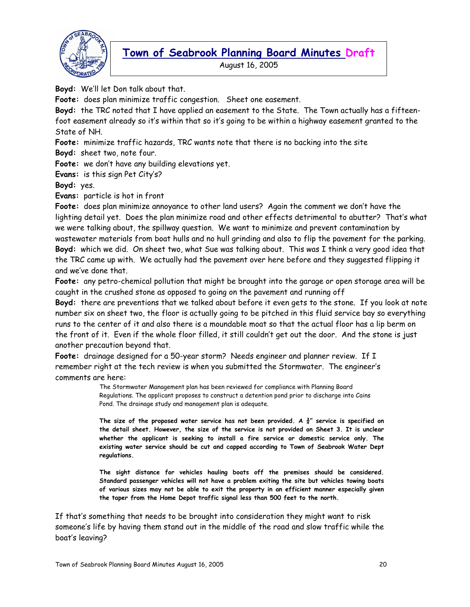

August 16, 2005

**Boyd:** We'll let Don talk about that.

**Foote:** does plan minimize traffic congestion. Sheet one easement.

**Boyd:** the TRC noted that I have applied an easement to the State. The Town actually has a fifteenfoot easement already so it's within that so it's going to be within a highway easement granted to the State of NH.

**Foote:** minimize traffic hazards, TRC wants note that there is no backing into the site

**Boyd:** sheet two, note four.

**Foote:** we don't have any building elevations yet.

**Evans:** is this sign Pet City's?

**Boyd:** yes.

**Evans:** particle is hot in front

**Foote:** does plan minimize annoyance to other land users? Again the comment we don't have the lighting detail yet. Does the plan minimize road and other effects detrimental to abutter? That's what we were talking about, the spillway question. We want to minimize and prevent contamination by wastewater materials from boat hulls and no hull grinding and also to flip the pavement for the parking. **Boyd:** which we did. On sheet two, what Sue was talking about. This was I think a very good idea that the TRC came up with. We actually had the pavement over here before and they suggested flipping it and we've done that.

**Foote:** any petro-chemical pollution that might be brought into the garage or open storage area will be caught in the crushed stone as opposed to going on the pavement and running off

**Boyd:** there are preventions that we talked about before it even gets to the stone. If you look at note number six on sheet two, the floor is actually going to be pitched in this fluid service bay so everything runs to the center of it and also there is a moundable moat so that the actual floor has a lip berm on the front of it. Even if the whole floor filled, it still couldn't get out the door. And the stone is just another precaution beyond that.

**Foote:** drainage designed for a 50-year storm? Needs engineer and planner review. If I remember right at the tech review is when you submitted the Stormwater. The engineer's comments are here:

> The Stormwater Management plan has been reviewed for compliance with Planning Board Regulations. The applicant proposes to construct a detention pond prior to discharge into Cains Pond. The drainage study and management plan is adequate.

**The size of the proposed water service has not been provided. A ¾" service is specified on the detail sheet. However, the size of the service is not provided on Sheet 3. It is unclear whether the applicant is seeking to install a fire service or domestic service only. The existing water service should be cut and capped according to Town of Seabrook Water Dept regulations.** 

**The sight distance for vehicles hauling boats off the premises should be considered. Standard passenger vehicles will not have a problem exiting the site but vehicles towing boats of various sizes may not be able to exit the property in an efficient manner especially given the taper from the Home Depot traffic signal less than 500 feet to the north.** 

If that's something that needs to be brought into consideration they might want to risk someone's life by having them stand out in the middle of the road and slow traffic while the boat's leaving?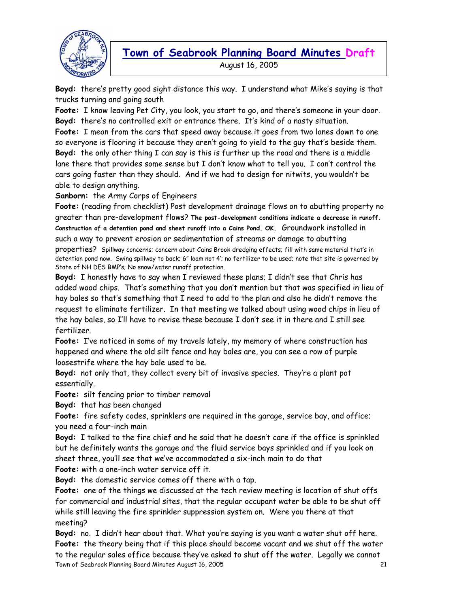

**Town of Seabrook Planning Board Minutes Draft**  August 16, 2005

**Boyd:** there's pretty good sight distance this way. I understand what Mike's saying is that trucks turning and going south

**Foote:** I know leaving Pet City, you look, you start to go, and there's someone in your door. **Boyd:** there's no controlled exit or entrance there. It's kind of a nasty situation.

**Foote:** I mean from the cars that speed away because it goes from two lanes down to one so everyone is flooring it because they aren't going to yield to the guy that's beside them. **Boyd:** the only other thing I can say is this is further up the road and there is a middle lane there that provides some sense but I don't know what to tell you. I can't control the cars going faster than they should. And if we had to design for nitwits, you wouldn't be able to design anything.

**Sanborn:** the Army Corps of Engineers

**Foote:** (reading from checklist) Post development drainage flows on to abutting property no greater than pre-development flows? **The post-development conditions indicate a decrease in runoff. Construction of a detention pond and sheet runoff into a Cains Pond. OK.** Groundwork installed in such a way to prevent erosion or sedimentation of streams or damage to abutting properties? Spillway concerns; concern about Cains Brook dredging effects; fill with same material that's in detention pond now. Swing spillway to back; 6" loam not 4'; no fertilizer to be used; note that site is governed by State of NH DES BMP's; No snow/water runoff protection.

**Boyd:** I honestly have to say when I reviewed these plans; I didn't see that Chris has added wood chips. That's something that you don't mention but that was specified in lieu of hay bales so that's something that I need to add to the plan and also he didn't remove the request to eliminate fertilizer. In that meeting we talked about using wood chips in lieu of the hay bales, so I'll have to revise these because I don't see it in there and I still see fertilizer.

**Foote:** I've noticed in some of my travels lately, my memory of where construction has happened and where the old silt fence and hay bales are, you can see a row of purple loosestrife where the hay bale used to be.

**Boyd:** not only that, they collect every bit of invasive species. They're a plant pot essentially.

**Foote:** silt fencing prior to timber removal

**Boyd:** that has been changed

**Foote:** fire safety codes, sprinklers are required in the garage, service bay, and office; you need a four-inch main

**Boyd:** I talked to the fire chief and he said that he doesn't care if the office is sprinkled but he definitely wants the garage and the fluid service bays sprinkled and if you look on sheet three, you'll see that we've accommodated a six-inch main to do that

**Foote:** with a one-inch water service off it.

**Boyd:** the domestic service comes off there with a tap.

**Foote:** one of the things we discussed at the tech review meeting is location of shut offs for commercial and industrial sites, that the regular occupant water be able to be shut off while still leaving the fire sprinkler suppression system on. Were you there at that meeting?

Town of Seabrook Planning Board Minutes August 16, 2005 21 **Boyd:** no. I didn't hear about that. What you're saying is you want a water shut off here. **Foote:** the theory being that if this place should become vacant and we shut off the water to the regular sales office because they've asked to shut off the water. Legally we cannot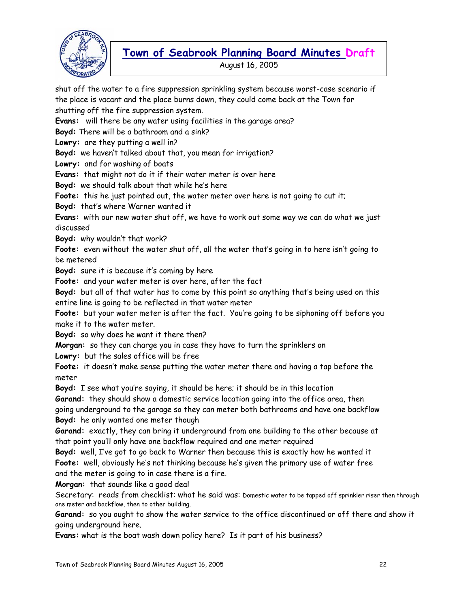

August 16, 2005

shut off the water to a fire suppression sprinkling system because worst-case scenario if the place is vacant and the place burns down, they could come back at the Town for shutting off the fire suppression system. **Evans:** will there be any water using facilities in the garage area? **Boyd:** There will be a bathroom and a sink? **Lowry:** are they putting a well in? **Boyd:** we haven't talked about that, you mean for irrigation? **Lowry:** and for washing of boats **Evans:** that might not do it if their water meter is over here **Boyd:** we should talk about that while he's here **Foote:** this he just pointed out, the water meter over here is not going to cut it; **Boyd:** that's where Warner wanted it **Evans:** with our new water shut off, we have to work out some way we can do what we just discussed **Boyd:** why wouldn't that work? **Foote:** even without the water shut off, all the water that's going in to here isn't going to be metered **Boyd:** sure it is because it's coming by here **Foote:** and your water meter is over here, after the fact **Boyd:** but all of that water has to come by this point so anything that's being used on this entire line is going to be reflected in that water meter **Foote:** but your water meter is after the fact. You're going to be siphoning off before you make it to the water meter. **Boyd:** so why does he want it there then? **Morgan:** so they can charge you in case they have to turn the sprinklers on **Lowry:** but the sales office will be free **Foote:** it doesn't make sense putting the water meter there and having a tap before the meter **Boyd:** I see what you're saying, it should be here; it should be in this location **Garand:** they should show a domestic service location going into the office area, then going underground to the garage so they can meter both bathrooms and have one backflow **Boyd:** he only wanted one meter though **Garand:** exactly, they can bring it underground from one building to the other because at that point you'll only have one backflow required and one meter required **Boyd:** well, I've got to go back to Warner then because this is exactly how he wanted it **Foote:** well, obviously he's not thinking because he's given the primary use of water free and the meter is going to in case there is a fire. **Morgan:** that sounds like a good deal Secretary: reads from checklist: what he said was: Domestic water to be tapped off sprinkler riser then through one meter and backflow, then to other building. **Garand:** so you ought to show the water service to the office discontinued or off there and show it going underground here. **Evans:** what is the boat wash down policy here? Is it part of his business?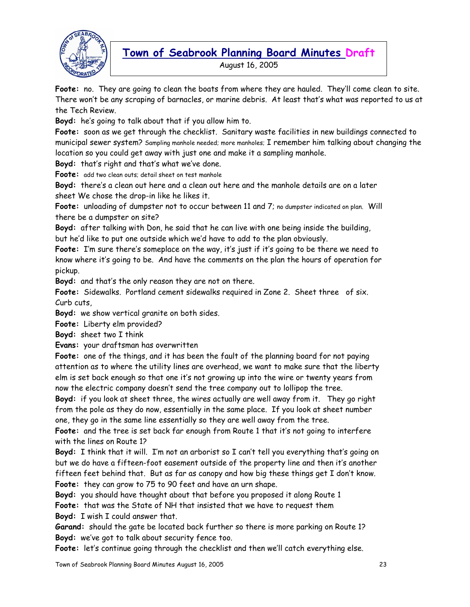

August 16, 2005

**Foote:** no. They are going to clean the boats from where they are hauled. They'll come clean to site. There won't be any scraping of barnacles, or marine debris. At least that's what was reported to us at the Tech Review.

**Boyd:** he's going to talk about that if you allow him to.

**Foote:** soon as we get through the checklist. Sanitary waste facilities in new buildings connected to municipal sewer system? Sampling manhole needed; more manholes; I remember him talking about changing the location so you could get away with just one and make it a sampling manhole.

**Boyd:** that's right and that's what we've done.

**Foote:** add two clean outs; detail sheet on test manhole

**Boyd:** there's a clean out here and a clean out here and the manhole details are on a later sheet We chose the drop-in like he likes it.

**Foote:** unloading of dumpster not to occur between 11 and 7; no dumpster indicated on plan. Will there be a dumpster on site?

**Boyd:** after talking with Don, he said that he can live with one being inside the building, but he'd like to put one outside which we'd have to add to the plan obviously.

**Foote:** I'm sure there's someplace on the way, it's just if it's going to be there we need to know where it's going to be. And have the comments on the plan the hours of operation for pickup.

**Boyd:** and that's the only reason they are not on there.

**Foote:** Sidewalks. Portland cement sidewalks required in Zone 2. Sheet three of six. Curb cuts,

**Boyd:** we show vertical granite on both sides.

**Foote:** Liberty elm provided?

**Boyd:** sheet two I think

**Evans:** your draftsman has overwritten

**Foote:** one of the things, and it has been the fault of the planning board for not paying attention as to where the utility lines are overhead, we want to make sure that the liberty elm is set back enough so that one it's not growing up into the wire or twenty years from now the electric company doesn't send the tree company out to lollipop the tree.

**Boyd:** if you look at sheet three, the wires actually are well away from it. They go right from the pole as they do now, essentially in the same place. If you look at sheet number one, they go in the same line essentially so they are well away from the tree.

**Foote:** and the tree is set back far enough from Route 1 that it's not going to interfere with the lines on Route 1?

**Boyd:** I think that it will. I'm not an arborist so I can't tell you everything that's going on but we do have a fifteen-foot easement outside of the property line and then it's another fifteen feet behind that. But as far as canopy and how big these things get I don't know. **Foote:** they can grow to 75 to 90 feet and have an urn shape.

**Boyd:** you should have thought about that before you proposed it along Route 1

**Foote:** that was the State of NH that insisted that we have to request them

**Boyd:** I wish I could answer that.

**Garand:** should the gate be located back further so there is more parking on Route 1? **Boyd:** we've got to talk about security fence too.

**Foote:** let's continue going through the checklist and then we'll catch everything else.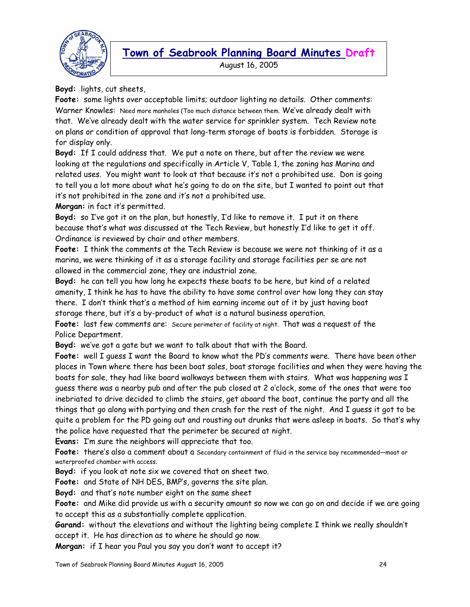

August 16, 2005

**Boyd:** lights, cut sheets,

**Foote:** some lights over acceptable limits; outdoor lighting no details. Other comments: Warner Knowles: Need more manholes (Too much distance between them. We've already dealt with that. We've already dealt with the water service for sprinkler system. Tech Review note on plans or condition of approval that long-term storage of boats is forbidden. Storage is for display only.

**Boyd:** If I could address that. We put a note on there, but after the review we were looking at the regulations and specifically in Article V, Table 1, the zoning has Marina and related uses. You might want to look at that because it's not a prohibited use. Don is going to tell you a lot more about what he's going to do on the site, but I wanted to point out that it's not prohibited in the zone and it's not a prohibited use.

**Morgan:** in fact it's permitted.

**Boyd:** so I've got it on the plan, but honestly, I'd like to remove it. I put it on there because that's what was discussed at the Tech Review, but honestly I'd like to get it off. Ordinance is reviewed by chair and other members.

**Foote:** I think the comments at the Tech Review is because we were not thinking of it as a marina, we were thinking of it as a storage facility and storage facilities per se are not allowed in the commercial zone, they are industrial zone.

**Boyd:** he can tell you how long he expects these boats to be here, but kind of a related amenity, I think he has to have the ability to have some control over how long they can stay there. I don't think that's a method of him earning income out of it by just having boat storage there, but it's a by-product of what is a natural business operation.

**Foote:** last few comments are: Secure perimeter of facility at night. That was a request of the Police Department.

**Boyd:** we've got a gate but we want to talk about that with the Board.

**Foote:** well I guess I want the Board to know what the PD's comments were. There have been other places in Town where there has been boat sales, boat storage facilities and when they were having the boats for sale, they had like board walkways between them with stairs. What was happening was I guess there was a nearby pub and after the pub closed at 2 o'clock, some of the ones that were too inebriated to drive decided to climb the stairs, get aboard the boat, continue the party and all the things that go along with partying and then crash for the rest of the night. And I guess it got to be quite a problem for the PD going out and rousting out drunks that were asleep in boats. So that's why the police have requested that the perimeter be secured at night.

**Evans:** I'm sure the neighbors will appreciate that too.

Foote: there's also a comment about a Secondary containment of fluid in the service bay recommended—moat or waterproofed chamber with access.

**Boyd:** if you look at note six we covered that on sheet two.

**Foote:** and State of NH DES, BMP's, governs the site plan.

**Boyd:** and that's note number eight on the same sheet

**Foote:** and Mike did provide us with a security amount so now we can go on and decide if we are going to accept this as a substantially complete application.

**Garand:** without the elevations and without the lighting being complete I think we really shouldn't accept it. He has direction as to where he should go now.

**Morgan:** if I hear you Paul you say you don't want to accept it?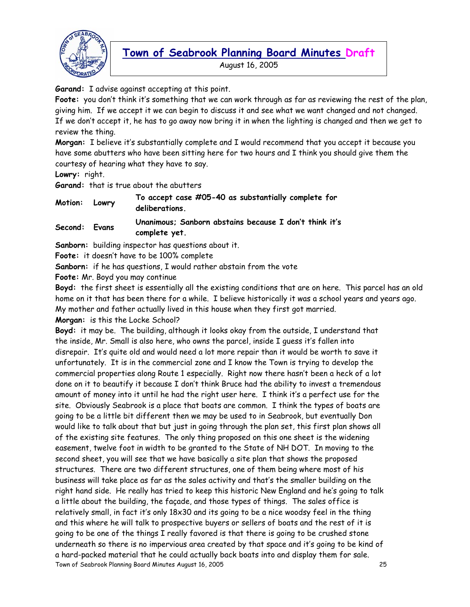

August 16, 2005

**Garand:** I advise against accepting at this point.

**Foote:** you don't think it's something that we can work through as far as reviewing the rest of the plan, giving him. If we accept it we can begin to discuss it and see what we want changed and not changed. If we don't accept it, he has to go away now bring it in when the lighting is changed and then we get to review the thing.

**Morgan:** I believe it's substantially complete and I would recommend that you accept it because you have some abutters who have been sitting here for two hours and I think you should give them the courtesy of hearing what they have to say.

**Lowry:** right.

**Garand:** that is true about the abutters

| Motion: | Lowry | To accept case #05-40 as substantially complete for<br>deliberations.   |
|---------|-------|-------------------------------------------------------------------------|
| Second: | Evans | Unanimous; Sanborn abstains because I don't think it's<br>complete yet. |

**Sanborn:** building inspector has questions about it.

**Foote:** it doesn't have to be 100% complete

**Sanborn:** if he has questions, I would rather abstain from the vote

**Foote:** Mr. Boyd you may continue

**Boyd:** the first sheet is essentially all the existing conditions that are on here. This parcel has an old home on it that has been there for a while. I believe historically it was a school years and years ago. My mother and father actually lived in this house when they first got married.

**Morgan:** is this the Locke School?

Town of Seabrook Planning Board Minutes August 16, 2005 25 **Boyd:** it may be. The building, although it looks okay from the outside, I understand that the inside, Mr. Small is also here, who owns the parcel, inside I guess it's fallen into disrepair. It's quite old and would need a lot more repair than it would be worth to save it unfortunately. It is in the commercial zone and I know the Town is trying to develop the commercial properties along Route 1 especially. Right now there hasn't been a heck of a lot done on it to beautify it because I don't think Bruce had the ability to invest a tremendous amount of money into it until he had the right user here. I think it's a perfect use for the site. Obviously Seabrook is a place that boats are common. I think the types of boats are going to be a little bit different then we may be used to in Seabrook, but eventually Don would like to talk about that but just in going through the plan set, this first plan shows all of the existing site features. The only thing proposed on this one sheet is the widening easement, twelve foot in width to be granted to the State of NH DOT. In moving to the second sheet, you will see that we have basically a site plan that shows the proposed structures. There are two different structures, one of them being where most of his business will take place as far as the sales activity and that's the smaller building on the right hand side. He really has tried to keep this historic New England and he's going to talk a little about the building, the façade, and those types of things. The sales office is relatively small, in fact it's only 18x30 and its going to be a nice woodsy feel in the thing and this where he will talk to prospective buyers or sellers of boats and the rest of it is going to be one of the things I really favored is that there is going to be crushed stone underneath so there is no impervious area created by that space and it's going to be kind of a hard-packed material that he could actually back boats into and display them for sale.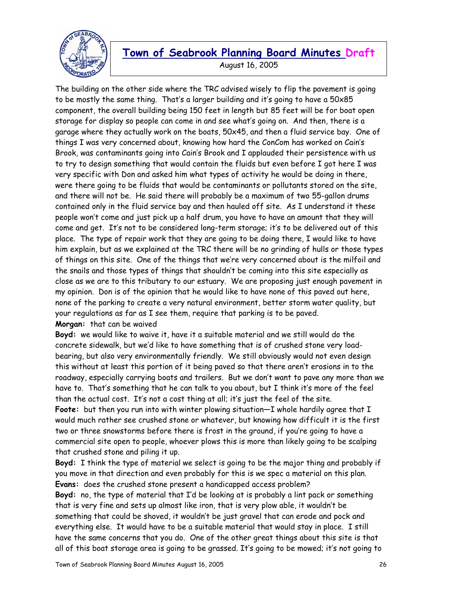

August 16, 2005

The building on the other side where the TRC advised wisely to flip the pavement is going to be mostly the same thing. That's a larger building and it's going to have a 50x85 component, the overall building being 150 feet in length but 85 feet will be for boat open storage for display so people can come in and see what's going on. And then, there is a garage where they actually work on the boats, 50x45, and then a fluid service bay. One of things I was very concerned about, knowing how hard the ConCom has worked on Cain's Brook, was contaminants going into Cain's Brook and I applauded their persistence with us to try to design something that would contain the fluids but even before I got here I was very specific with Don and asked him what types of activity he would be doing in there, were there going to be fluids that would be contaminants or pollutants stored on the site, and there will not be. He said there will probably be a maximum of two 55-gallon drums contained only in the fluid service bay and then hauled off site. As I understand it these people won't come and just pick up a half drum, you have to have an amount that they will come and get. It's not to be considered long-term storage; it's to be delivered out of this place. The type of repair work that they are going to be doing there, I would like to have him explain, but as we explained at the TRC there will be no grinding of hulls or those types of things on this site. One of the things that we're very concerned about is the milfoil and the snails and those types of things that shouldn't be coming into this site especially as close as we are to this tributary to our estuary. We are proposing just enough pavement in my opinion. Don is of the opinion that he would like to have none of this paved out here, none of the parking to create a very natural environment, better storm water quality, but your regulations as far as I see them, require that parking is to be paved. **Morgan:** that can be waived

**Boyd:** we would like to waive it, have it a suitable material and we still would do the concrete sidewalk, but we'd like to have something that is of crushed stone very loadbearing, but also very environmentally friendly. We still obviously would not even design this without at least this portion of it being paved so that there aren't erosions in to the roadway, especially carrying boats and trailers. But we don't want to pave any more than we have to. That's something that he can talk to you about, but I think it's more of the feel than the actual cost. It's not a cost thing at all; it's just the feel of the site.

**Foote:** but then you run into with winter plowing situation—I whole hardily agree that I would much rather see crushed stone or whatever, but knowing how difficult it is the first two or three snowstorms before there is frost in the ground, if you're going to have a commercial site open to people, whoever plows this is more than likely going to be scalping that crushed stone and piling it up.

**Boyd:** I think the type of material we select is going to be the major thing and probably if you move in that direction and even probably for this is we spec a material on this plan. **Evans:** does the crushed stone present a handicapped access problem?

**Boyd:** no, the type of material that I'd be looking at is probably a lint pack or something that is very fine and sets up almost like iron, that is very plow able, it wouldn't be something that could be shoved, it wouldn't be just gravel that can erode and pock and everything else. It would have to be a suitable material that would stay in place. I still have the same concerns that you do. One of the other great things about this site is that all of this boat storage area is going to be grassed. It's going to be mowed; it's not going to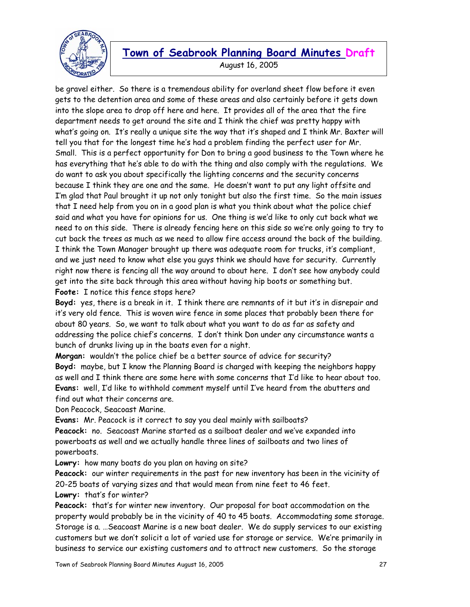

August 16, 2005

be gravel either. So there is a tremendous ability for overland sheet flow before it even gets to the detention area and some of these areas and also certainly before it gets down into the slope area to drop off here and here. It provides all of the area that the fire department needs to get around the site and I think the chief was pretty happy with what's going on. It's really a unique site the way that it's shaped and I think Mr. Baxter will tell you that for the longest time he's had a problem finding the perfect user for Mr. Small. This is a perfect opportunity for Don to bring a good business to the Town where he has everything that he's able to do with the thing and also comply with the regulations. We do want to ask you about specifically the lighting concerns and the security concerns because I think they are one and the same. He doesn't want to put any light offsite and I'm glad that Paul brought it up not only tonight but also the first time. So the main issues that I need help from you on in a good plan is what you think about what the police chief said and what you have for opinions for us. One thing is we'd like to only cut back what we need to on this side. There is already fencing here on this side so we're only going to try to cut back the trees as much as we need to allow fire access around the back of the building. I think the Town Manager brought up there was adequate room for trucks, it's compliant, and we just need to know what else you guys think we should have for security. Currently right now there is fencing all the way around to about here. I don't see how anybody could get into the site back through this area without having hip boots or something but. **Foote:** I notice this fence stops here?

**Boyd:** yes, there is a break in it. I think there are remnants of it but it's in disrepair and it's very old fence. This is woven wire fence in some places that probably been there for about 80 years. So, we want to talk about what you want to do as far as safety and addressing the police chief's concerns. I don't think Don under any circumstance wants a bunch of drunks living up in the boats even for a night.

**Morgan:** wouldn't the police chief be a better source of advice for security? **Boyd:** maybe, but I know the Planning Board is charged with keeping the neighbors happy as well and I think there are some here with some concerns that I'd like to hear about too. **Evans:** well, I'd like to withhold comment myself until I've heard from the abutters and find out what their concerns are.

Don Peacock, Seacoast Marine.

**Evans:** Mr. Peacock is it correct to say you deal mainly with sailboats?

**Peacock:** no. Seacoast Marine started as a sailboat dealer and we've expanded into powerboats as well and we actually handle three lines of sailboats and two lines of powerboats.

**Lowry:** how many boats do you plan on having on site?

**Peacock:** our winter requirements in the past for new inventory has been in the vicinity of 20-25 boats of varying sizes and that would mean from nine feet to 46 feet.

**Lowry:** that's for winter?

**Peacock:** that's for winter new inventory. Our proposal for boat accommodation on the property would probably be in the vicinity of 40 to 45 boats. Accommodating some storage. Storage is a. …Seacoast Marine is a new boat dealer. We do supply services to our existing customers but we don't solicit a lot of varied use for storage or service. We're primarily in business to service our existing customers and to attract new customers. So the storage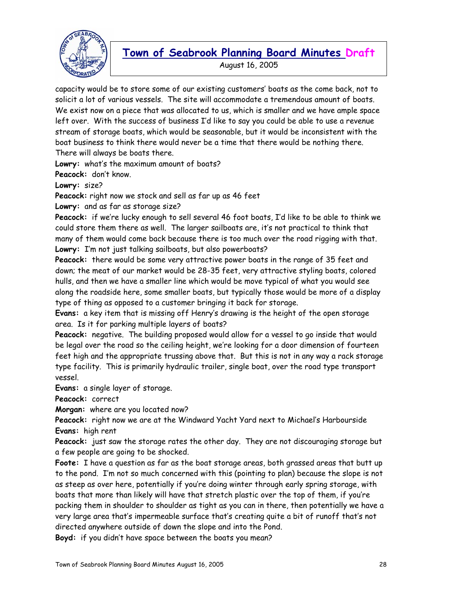

August 16, 2005

capacity would be to store some of our existing customers' boats as the come back, not to solicit a lot of various vessels. The site will accommodate a tremendous amount of boats. We exist now on a piece that was allocated to us, which is smaller and we have ample space left over. With the success of business I'd like to say you could be able to use a revenue stream of storage boats, which would be seasonable, but it would be inconsistent with the boat business to think there would never be a time that there would be nothing there. There will always be boats there.

**Lowry:** what's the maximum amount of boats?

**Peacock:** don't know.

**Lowry:** size?

**Peacock:** right now we stock and sell as far up as 46 feet

**Lowry:** and as far as storage size?

**Peacock:** if we're lucky enough to sell several 46 foot boats, I'd like to be able to think we could store them there as well. The larger sailboats are, it's not practical to think that many of them would come back because there is too much over the road rigging with that. **Lowry:** I'm not just talking sailboats, but also powerboats?

**Peacock:** there would be some very attractive power boats in the range of 35 feet and down; the meat of our market would be 28-35 feet, very attractive styling boats, colored hulls, and then we have a smaller line which would be move typical of what you would see along the roadside here, some smaller boats, but typically those would be more of a display type of thing as opposed to a customer bringing it back for storage.

**Evans:** a key item that is missing off Henry's drawing is the height of the open storage area. Is it for parking multiple layers of boats?

**Peacock:** negative. The building proposed would allow for a vessel to go inside that would be legal over the road so the ceiling height, we're looking for a door dimension of fourteen feet high and the appropriate trussing above that. But this is not in any way a rack storage type facility. This is primarily hydraulic trailer, single boat, over the road type transport vessel.

**Evans:** a single layer of storage.

**Peacock:** correct

**Morgan:** where are you located now?

**Peacock:** right now we are at the Windward Yacht Yard next to Michael's Harbourside **Evans:** high rent

**Peacock:** just saw the storage rates the other day. They are not discouraging storage but a few people are going to be shocked.

**Foote:** I have a question as far as the boat storage areas, both grassed areas that butt up to the pond. I'm not so much concerned with this (pointing to plan) because the slope is not as steep as over here, potentially if you're doing winter through early spring storage, with boats that more than likely will have that stretch plastic over the top of them, if you're packing them in shoulder to shoulder as tight as you can in there, then potentially we have a very large area that's impermeable surface that's creating quite a bit of runoff that's not directed anywhere outside of down the slope and into the Pond.

**Boyd:** if you didn't have space between the boats you mean?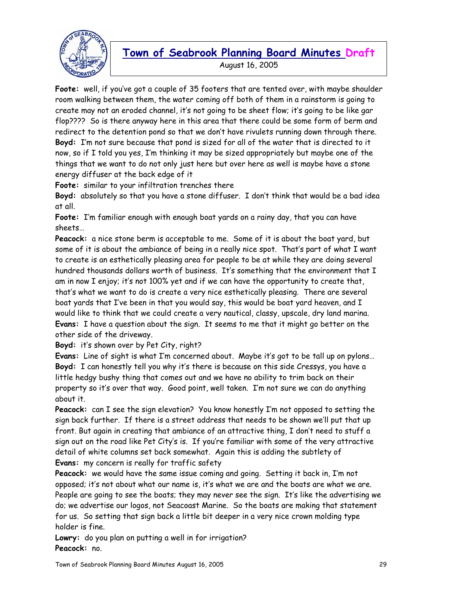

### **Town of Seabrook Planning Board Minutes Draft**  August 16, 2005

**Foote:** well, if you've got a couple of 35 footers that are tented over, with maybe shoulder room walking between them, the water coming off both of them in a rainstorm is going to create may not an eroded channel, it's not going to be sheet flow; it's going to be like gar flop???? So is there anyway here in this area that there could be some form of berm and redirect to the detention pond so that we don't have rivulets running down through there. **Boyd:** I'm not sure because that pond is sized for all of the water that is directed to it now, so if I told you yes, I'm thinking it may be sized appropriately but maybe one of the things that we want to do not only just here but over here as well is maybe have a stone energy diffuser at the back edge of it

**Foote:** similar to your infiltration trenches there

**Boyd:** absolutely so that you have a stone diffuser. I don't think that would be a bad idea at all.

**Foote:** I'm familiar enough with enough boat yards on a rainy day, that you can have sheets…

**Peacock:** a nice stone berm is acceptable to me. Some of it is about the boat yard, but some of it is about the ambiance of being in a really nice spot. That's part of what I want to create is an esthetically pleasing area for people to be at while they are doing several hundred thousands dollars worth of business. It's something that the environment that I am in now I enjoy; it's not 100% yet and if we can have the opportunity to create that, that's what we want to do is create a very nice esthetically pleasing. There are several boat yards that I've been in that you would say, this would be boat yard heaven, and I would like to think that we could create a very nautical, classy, upscale, dry land marina. **Evans:** I have a question about the sign. It seems to me that it might go better on the other side of the driveway.

**Boyd:** it's shown over by Pet City, right?

**Evans:** Line of sight is what I'm concerned about. Maybe it's got to be tall up on pylons… **Boyd:** I can honestly tell you why it's there is because on this side Cressys, you have a little hedgy bushy thing that comes out and we have no ability to trim back on their property so it's over that way. Good point, well taken. I'm not sure we can do anything about it.

**Peacock:** can I see the sign elevation? You know honestly I'm not opposed to setting the sign back further. If there is a street address that needs to be shown we'll put that up front. But again in creating that ambiance of an attractive thing, I don't need to stuff a sign out on the road like Pet City's is. If you're familiar with some of the very attractive detail of white columns set back somewhat. Again this is adding the subtlety of **Evans:** my concern is really for traffic safety

**Peacock:** we would have the same issue coming and going. Setting it back in, I'm not opposed; it's not about what our name is, it's what we are and the boats are what we are. People are going to see the boats; they may never see the sign. It's like the advertising we do; we advertise our logos, not Seacoast Marine. So the boats are making that statement for us. So setting that sign back a little bit deeper in a very nice crown molding type holder is fine.

**Lowry:** do you plan on putting a well in for irrigation? **Peacock:** no.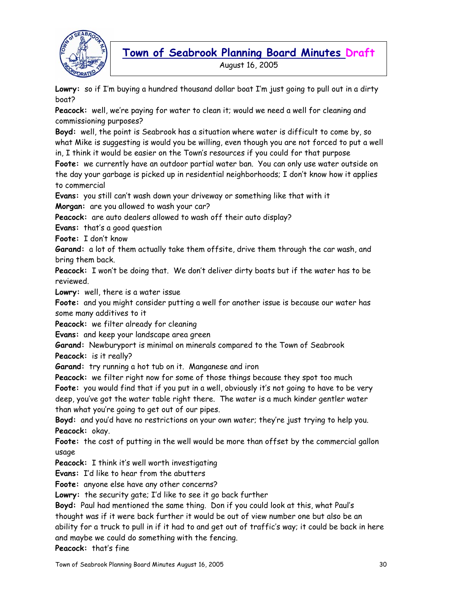

**Lowry:** so if I'm buying a hundred thousand dollar boat I'm just going to pull out in a dirty boat?

**Peacock:** well, we're paying for water to clean it; would we need a well for cleaning and commissioning purposes?

**Boyd:** well, the point is Seabrook has a situation where water is difficult to come by, so what Mike is suggesting is would you be willing, even though you are not forced to put a well

in, I think it would be easier on the Town's resources if you could for that purpose

**Foote:** we currently have an outdoor partial water ban. You can only use water outside on the day your garbage is picked up in residential neighborhoods; I don't know how it applies to commercial

**Evans:** you still can't wash down your driveway or something like that with it

**Morgan:** are you allowed to wash your car?

**Peacock:** are auto dealers allowed to wash off their auto display?

**Evans:** that's a good question

**Foote:** I don't know

**Garand:** a lot of them actually take them offsite, drive them through the car wash, and bring them back.

**Peacock:** I won't be doing that. We don't deliver dirty boats but if the water has to be reviewed.

**Lowry:** well, there is a water issue

**Foote:** and you might consider putting a well for another issue is because our water has some many additives to it

**Peacock:** we filter already for cleaning

**Evans:** and keep your landscape area green

**Garand:** Newburyport is minimal on minerals compared to the Town of Seabrook **Peacock:** is it really?

**Garand:** try running a hot tub on it. Manganese and iron

**Peacock:** we filter right now for some of those things because they spot too much

**Foote:** you would find that if you put in a well, obviously it's not going to have to be very deep, you've got the water table right there. The water is a much kinder gentler water than what you're going to get out of our pipes.

**Boyd:** and you'd have no restrictions on your own water; they're just trying to help you. **Peacock:** okay.

**Foote:** the cost of putting in the well would be more than offset by the commercial gallon usage

**Peacock:** I think it's well worth investigating

**Evans:** I'd like to hear from the abutters

**Foote:** anyone else have any other concerns?

**Lowry:** the security gate; I'd like to see it go back further

**Boyd:** Paul had mentioned the same thing. Don if you could look at this, what Paul's

thought was if it were back further it would be out of view number one but also be an

ability for a truck to pull in if it had to and get out of traffic's way; it could be back in here and maybe we could do something with the fencing.

**Peacock:** that's fine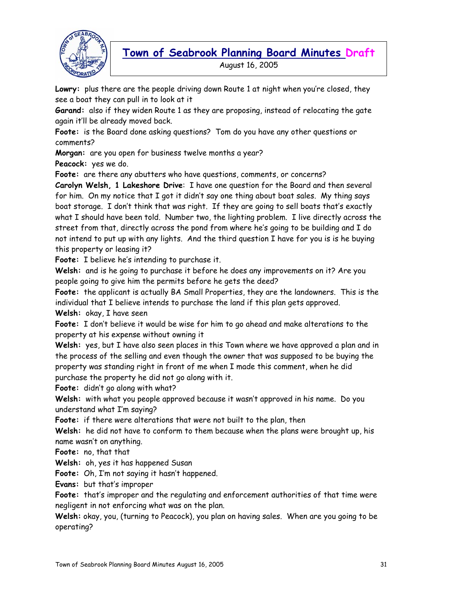

August 16, 2005

**Lowry:** plus there are the people driving down Route 1 at night when you're closed, they see a boat they can pull in to look at it

**Garand:** also if they widen Route 1 as they are proposing, instead of relocating the gate again it'll be already moved back.

**Foote:** is the Board done asking questions? Tom do you have any other questions or comments?

**Morgan:** are you open for business twelve months a year? **Peacock:** yes we do.

**Foote:** are there any abutters who have questions, comments, or concerns?

**Carolyn Welsh, 1 Lakeshore Drive**: I have one question for the Board and then several for him. On my notice that I got it didn't say one thing about boat sales. My thing says boat storage. I don't think that was right. If they are going to sell boats that's exactly what I should have been told. Number two, the lighting problem. I live directly across the street from that, directly across the pond from where he's going to be building and I do not intend to put up with any lights. And the third question I have for you is is he buying this property or leasing it?

**Foote:** I believe he's intending to purchase it.

**Welsh:** and is he going to purchase it before he does any improvements on it? Are you people going to give him the permits before he gets the deed?

**Foote:** the applicant is actually BA Small Properties, they are the landowners. This is the individual that I believe intends to purchase the land if this plan gets approved.

**Welsh:** okay, I have seen

**Foote:** I don't believe it would be wise for him to go ahead and make alterations to the property at his expense without owning it

**Welsh:** yes, but I have also seen places in this Town where we have approved a plan and in the process of the selling and even though the owner that was supposed to be buying the property was standing right in front of me when I made this comment, when he did purchase the property he did not go along with it.

**Foote:** didn't go along with what?

**Welsh:** with what you people approved because it wasn't approved in his name. Do you understand what I'm saying?

**Foote:** if there were alterations that were not built to the plan, then

**Welsh:** he did not have to conform to them because when the plans were brought up, his name wasn't on anything.

**Foote:** no, that that

**Welsh:** oh, yes it has happened Susan

**Foote:** Oh, I'm not saying it hasn't happened.

**Evans:** but that's improper

**Foote:** that's improper and the regulating and enforcement authorities of that time were negligent in not enforcing what was on the plan.

**Welsh:** okay, you, (turning to Peacock), you plan on having sales. When are you going to be operating?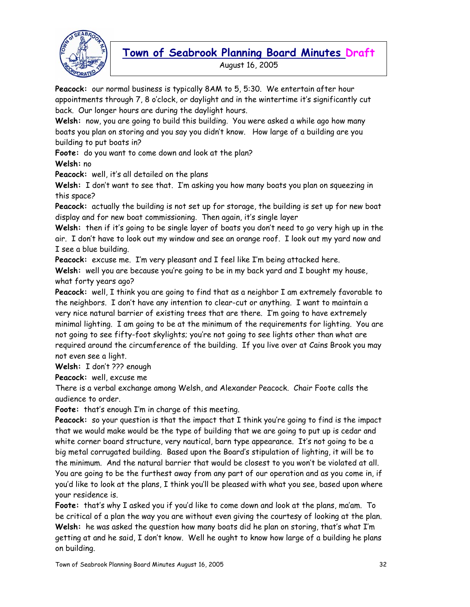

August 16, 2005

**Peacock:** our normal business is typically 8AM to 5, 5:30. We entertain after hour appointments through 7, 8 o'clock, or daylight and in the wintertime it's significantly cut back. Our longer hours are during the daylight hours.

**Welsh:** now, you are going to build this building. You were asked a while ago how many boats you plan on storing and you say you didn't know. How large of a building are you building to put boats in?

**Foote:** do you want to come down and look at the plan? **Welsh:** no

**Peacock:** well, it's all detailed on the plans

**Welsh:** I don't want to see that. I'm asking you how many boats you plan on squeezing in this space?

**Peacock:** actually the building is not set up for storage, the building is set up for new boat display and for new boat commissioning. Then again, it's single layer

**Welsh:** then if it's going to be single layer of boats you don't need to go very high up in the air. I don't have to look out my window and see an orange roof. I look out my yard now and I see a blue building.

**Peacock:** excuse me. I'm very pleasant and I feel like I'm being attacked here.

**Welsh:** well you are because you're going to be in my back yard and I bought my house, what forty years ago?

**Peacock:** well, I think you are going to find that as a neighbor I am extremely favorable to the neighbors. I don't have any intention to clear-cut or anything. I want to maintain a very nice natural barrier of existing trees that are there. I'm going to have extremely minimal lighting. I am going to be at the minimum of the requirements for lighting. You are not going to see fifty-foot skylights; you're not going to see lights other than what are required around the circumference of the building. If you live over at Cains Brook you may not even see a light.

**Welsh:** I don't ??? enough

**Peacock:** well, excuse me

There is a verbal exchange among Welsh, and Alexander Peacock. Chair Foote calls the audience to order.

**Foote:** that's enough I'm in charge of this meeting.

**Peacock:** so your question is that the impact that I think you're going to find is the impact that we would make would be the type of building that we are going to put up is cedar and white corner board structure, very nautical, barn type appearance. It's not going to be a big metal corrugated building. Based upon the Board's stipulation of lighting, it will be to the minimum. And the natural barrier that would be closest to you won't be violated at all. You are going to be the furthest away from any part of our operation and as you come in, if you'd like to look at the plans, I think you'll be pleased with what you see, based upon where your residence is.

**Foote:** that's why I asked you if you'd like to come down and look at the plans, ma'am. To be critical of a plan the way you are without even giving the courtesy of looking at the plan. **Welsh:** he was asked the question how many boats did he plan on storing, that's what I'm getting at and he said, I don't know. Well he ought to know how large of a building he plans on building.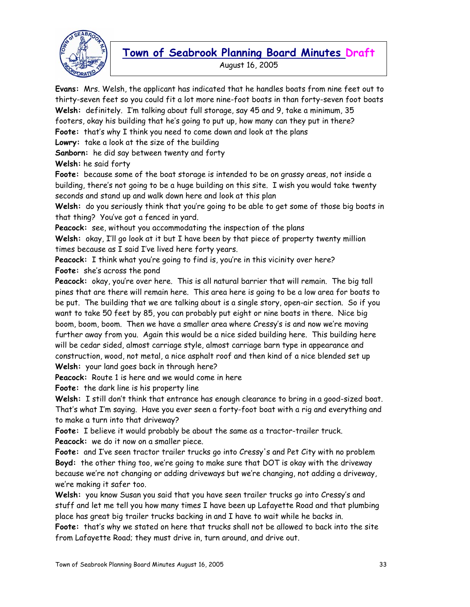

August 16, 2005

**Evans:** Mrs. Welsh, the applicant has indicated that he handles boats from nine feet out to thirty-seven feet so you could fit a lot more nine-foot boats in than forty-seven foot boats **Welsh:** definitely. I'm talking about full storage, say 45 and 9, take a minimum, 35 footers, okay his building that he's going to put up, how many can they put in there? **Foote:** that's why I think you need to come down and look at the plans **Lowry:** take a look at the size of the building **Sanborn:** he did say between twenty and forty

**Welsh:** he said forty

**Foote:** because some of the boat storage is intended to be on grassy areas, not inside a building, there's not going to be a huge building on this site. I wish you would take twenty seconds and stand up and walk down here and look at this plan

**Welsh:** do you seriously think that you're going to be able to get some of those big boats in that thing? You've got a fenced in yard.

**Peacock:** see, without you accommodating the inspection of the plans

**Welsh:** okay, I'll go look at it but I have been by that piece of property twenty million times because as I said I've lived here forty years.

**Peacock:** I think what you're going to find is, you're in this vicinity over here? **Foote:** she's across the pond

**Peacock:** okay, you're over here. This is all natural barrier that will remain. The big tall pines that are there will remain here. This area here is going to be a low area for boats to be put. The building that we are talking about is a single story, open-air section. So if you want to take 50 feet by 85, you can probably put eight or nine boats in there. Nice big boom, boom, boom. Then we have a smaller area where Cressy's is and now we're moving further away from you. Again this would be a nice sided building here. This building here will be cedar sided, almost carriage style, almost carriage barn type in appearance and construction, wood, not metal, a nice asphalt roof and then kind of a nice blended set up **Welsh:** your land goes back in through here?

**Peacock:** Route 1 is here and we would come in here

**Foote:** the dark line is his property line

**Welsh:** I still don't think that entrance has enough clearance to bring in a good-sized boat. That's what I'm saying. Have you ever seen a forty-foot boat with a rig and everything and to make a turn into that driveway?

**Foote:** I believe it would probably be about the same as a tractor-trailer truck. **Peacock:** we do it now on a smaller piece.

**Foote:** and I've seen tractor trailer trucks go into Cressy's and Pet City with no problem **Boyd:** the other thing too, we're going to make sure that DOT is okay with the driveway because we're not changing or adding driveways but we're changing, not adding a driveway, we're making it safer too.

**Welsh:** you know Susan you said that you have seen trailer trucks go into Cressy's and stuff and let me tell you how many times I have been up Lafayette Road and that plumbing place has great big trailer trucks backing in and I have to wait while he backs in. **Foote:** that's why we stated on here that trucks shall not be allowed to back into the site

from Lafayette Road; they must drive in, turn around, and drive out.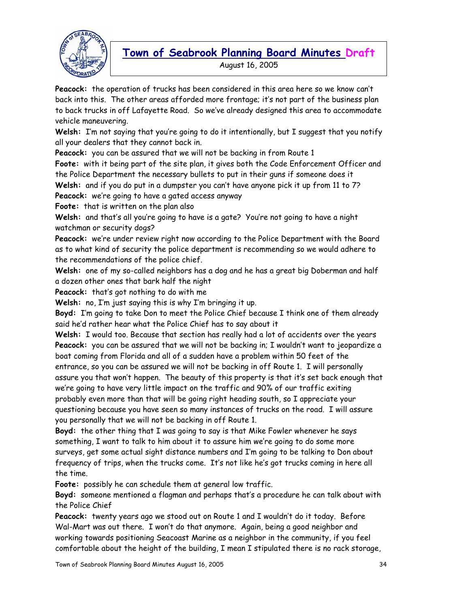

August 16, 2005

**Peacock:** the operation of trucks has been considered in this area here so we know can't back into this. The other areas afforded more frontage; it's not part of the business plan to back trucks in off Lafayette Road. So we've already designed this area to accommodate vehicle maneuvering.

**Welsh:** I'm not saying that you're going to do it intentionally, but I suggest that you notify all your dealers that they cannot back in.

**Peacock:** you can be assured that we will not be backing in from Route 1

**Foote:** with it being part of the site plan, it gives both the Code Enforcement Officer and the Police Department the necessary bullets to put in their guns if someone does it

**Welsh:** and if you do put in a dumpster you can't have anyone pick it up from 11 to 7? **Peacock:** we're going to have a gated access anyway

**Foote:** that is written on the plan also

**Welsh:** and that's all you're going to have is a gate? You're not going to have a night watchman or security dogs?

**Peacock:** we're under review right now according to the Police Department with the Board as to what kind of security the police department is recommending so we would adhere to the recommendations of the police chief.

**Welsh:** one of my so-called neighbors has a dog and he has a great big Doberman and half a dozen other ones that bark half the night

**Peacock:** that's got nothing to do with me

**Welsh:** no, I'm just saying this is why I'm bringing it up.

**Boyd:** I'm going to take Don to meet the Police Chief because I think one of them already said he'd rather hear what the Police Chief has to say about it

**Welsh:** I would too. Because that section has really had a lot of accidents over the years **Peacock:** you can be assured that we will not be backing in; I wouldn't want to jeopardize a boat coming from Florida and all of a sudden have a problem within 50 feet of the entrance, so you can be assured we will not be backing in off Route 1. I will personally assure you that won't happen. The beauty of this property is that it's set back enough that we're going to have very little impact on the traffic and 90% of our traffic exiting probably even more than that will be going right heading south, so I appreciate your questioning because you have seen so many instances of trucks on the road. I will assure you personally that we will not be backing in off Route 1.

**Boyd:** the other thing that I was going to say is that Mike Fowler whenever he says something, I want to talk to him about it to assure him we're going to do some more surveys, get some actual sight distance numbers and I'm going to be talking to Don about frequency of trips, when the trucks come. It's not like he's got trucks coming in here all the time.

**Foote:** possibly he can schedule them at general low traffic.

**Boyd:** someone mentioned a flagman and perhaps that's a procedure he can talk about with the Police Chief

**Peacock:** twenty years ago we stood out on Route 1 and I wouldn't do it today. Before Wal-Mart was out there. I won't do that anymore. Again, being a good neighbor and working towards positioning Seacoast Marine as a neighbor in the community, if you feel comfortable about the height of the building, I mean I stipulated there is no rack storage,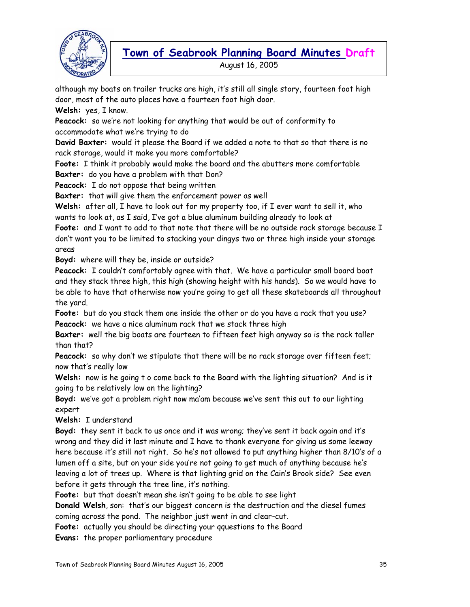

August 16, 2005

although my boats on trailer trucks are high, it's still all single story, fourteen foot high door, most of the auto places have a fourteen foot high door.

**Welsh:** yes, I know.

**Peacock:** so we're not looking for anything that would be out of conformity to accommodate what we're trying to do

**David Baxter:** would it please the Board if we added a note to that so that there is no rack storage, would it make you more comfortable?

**Foote:** I think it probably would make the board and the abutters more comfortable **Baxter:** do you have a problem with that Don?

**Peacock:** I do not oppose that being written

**Baxter:** that will give them the enforcement power as well

**Welsh:** after all, I have to look out for my property too, if I ever want to sell it, who wants to look at, as I said, I've got a blue aluminum building already to look at

Foote: and I want to add to that note that there will be no outside rack storage because I don't want you to be limited to stacking your dingys two or three high inside your storage areas

**Boyd:** where will they be, inside or outside?

**Peacock:** I couldn't comfortably agree with that. We have a particular small board boat and they stack three high, this high (showing height with his hands). So we would have to be able to have that otherwise now you're going to get all these skateboards all throughout the yard.

**Foote:** but do you stack them one inside the other or do you have a rack that you use? **Peacock:** we have a nice aluminum rack that we stack three high

**Baxter:** well the big boats are fourteen to fifteen feet high anyway so is the rack taller than that?

**Peacock:** so why don't we stipulate that there will be no rack storage over fifteen feet; now that's really low

**Welsh:** now is he going t o come back to the Board with the lighting situation? And is it going to be relatively low on the lighting?

**Boyd:** we've got a problem right now ma'am because we've sent this out to our lighting expert

**Welsh:** I understand

**Boyd:** they sent it back to us once and it was wrong; they've sent it back again and it's wrong and they did it last minute and I have to thank everyone for giving us some leeway here because it's still not right. So he's not allowed to put anything higher than 8/10's of a lumen off a site, but on your side you're not going to get much of anything because he's leaving a lot of trees up. Where is that lighting grid on the Cain's Brook side? See even before it gets through the tree line, it's nothing.

**Foote:** but that doesn't mean she isn't going to be able to see light

**Donald Welsh**, son: that's our biggest concern is the destruction and the diesel fumes

coming across the pond. The neighbor just went in and clear-cut.

**Foote:** actually you should be directing your qquestions to the Board

**Evans:** the proper parliamentary procedure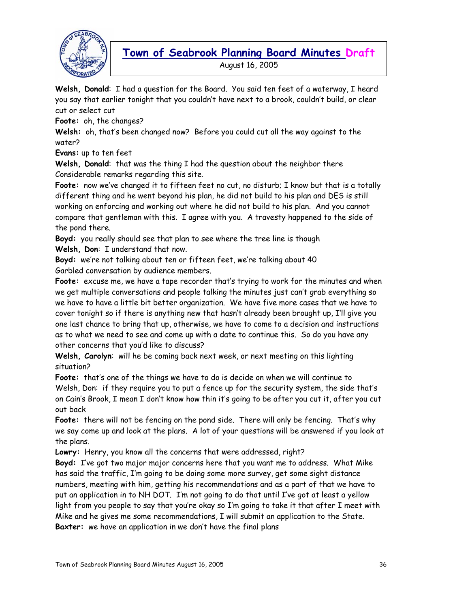

August 16, 2005

**Welsh, Donald**: I had a question for the Board. You said ten feet of a waterway, I heard you say that earlier tonight that you couldn't have next to a brook, couldn't build, or clear cut or select cut

**Foote:** oh, the changes?

**Welsh:** oh, that's been changed now? Before you could cut all the way against to the water?

**Evans:** up to ten feet

**Welsh, Donald**: that was the thing I had the question about the neighbor there Considerable remarks regarding this site.

Foote: now we've changed it to fifteen feet no cut, no disturb; I know but that is a totally different thing and he went beyond his plan, he did not build to his plan and DES is still working on enforcing and working out where he did not build to his plan. And you cannot compare that gentleman with this. I agree with you. A travesty happened to the side of the pond there.

**Boyd:** you really should see that plan to see where the tree line is though **Welsh, Don**: I understand that now.

**Boyd:** we're not talking about ten or fifteen feet, we're talking about 40 Garbled conversation by audience members.

**Foote:** excuse me, we have a tape recorder that's trying to work for the minutes and when we get multiple conversations and people talking the minutes just can't grab everything so we have to have a little bit better organization. We have five more cases that we have to cover tonight so if there is anything new that hasn't already been brought up, I'll give you one last chance to bring that up, otherwise, we have to come to a decision and instructions as to what we need to see and come up with a date to continue this. So do you have any other concerns that you'd like to discuss?

**Welsh, Carolyn**: will he be coming back next week, or next meeting on this lighting situation?

**Foote:** that's one of the things we have to do is decide on when we will continue to Welsh, Don: if they require you to put a fence up for the security system, the side that's on Cain's Brook, I mean I don't know how thin it's going to be after you cut it, after you cut out back

**Foote:** there will not be fencing on the pond side. There will only be fencing. That's why we say come up and look at the plans. A lot of your questions will be answered if you look at the plans.

Lowry: Henry, you know all the concerns that were addressed, right?

**Boyd:** I've got two major major concerns here that you want me to address. What Mike has said the traffic, I'm going to be doing some more survey, get some sight distance numbers, meeting with him, getting his recommendations and as a part of that we have to put an application in to NH DOT. I'm not going to do that until I've got at least a yellow light from you people to say that you're okay so I'm going to take it that after I meet with Mike and he gives me some recommendations, I will submit an application to the State. **Baxter:** we have an application in we don't have the final plans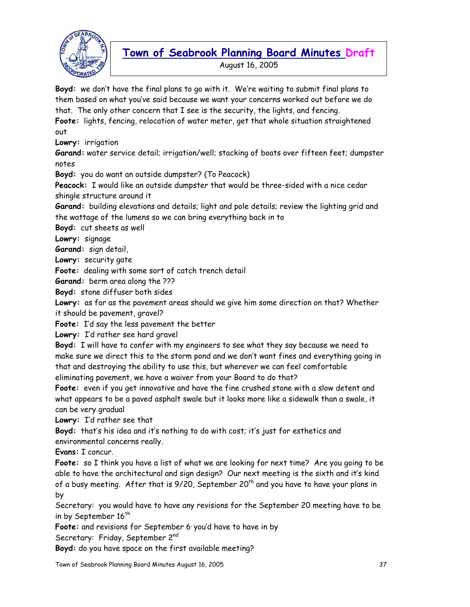

August 16, 2005

**Boyd:** we don't have the final plans to go with it. We're waiting to submit final plans to them based on what you've said because we want your concerns worked out before we do that. The only other concern that I see is the security, the lights, and fencing.

**Foote:** lights, fencing, relocation of water meter, get that whole situation straightened out

**Lowry:** irrigation

**Garand:** water service detail; irrigation/well; stacking of boats over fifteen feet; dumpster notes

**Boyd:** you do want an outside dumpster? (To Peacock)

**Peacock:** I would like an outside dumpster that would be three-sided with a nice cedar shingle structure around it

**Garand:** building elevations and details; light and pole details; review the lighting grid and the wattage of the lumens so we can bring everything back in to

**Boyd:** cut sheets as well

**Lowry:** signage

**Garand:** sign detail,

**Lowry:** security gate

**Foote:** dealing with some sort of catch trench detail

**Garand:** berm area along the ???

**Boyd:** stone diffuser both sides

**Lowry:** as far as the pavement areas should we give him some direction on that? Whether it should be pavement, gravel?

**Foote:** I'd say the less pavement the better

**Lowry:** I'd rather see hard gravel

**Boyd:** I will have to confer with my engineers to see what they say because we need to make sure we direct this to the storm pond and we don't want fines and everything going in that and destroying the ability to use this, but wherever we can feel comfortable eliminating pavement, we have a waiver from your Board to do that?

**Foote:** even if you get innovative and have the fine crushed stone with a slow detent and what appears to be a paved asphalt swale but it looks more like a sidewalk than a swale, it can be very gradual

**Lowry:** I'd rather see that

**Boyd:** that's his idea and it's nothing to do with cost; it's just for esthetics and environmental concerns really.

**Evans:** I concur.

**Foote:** so I think you have a list of what we are looking for next time? Are you going to be able to have the architectural and sign design? Our next meeting is the sixth and it's kind of a busy meeting. After that is  $9/20$ , September  $20<sup>th</sup>$  and you have to have your plans in by

Secretary: you would have to have any revisions for the September 20 meeting have to be in by September  $16<sup>th</sup>$ 

Foote: and revisions for September 6 you'd have to have in by

Secretary: Friday, September 2<sup>nd</sup>

**Boyd:** do you have space on the first available meeting?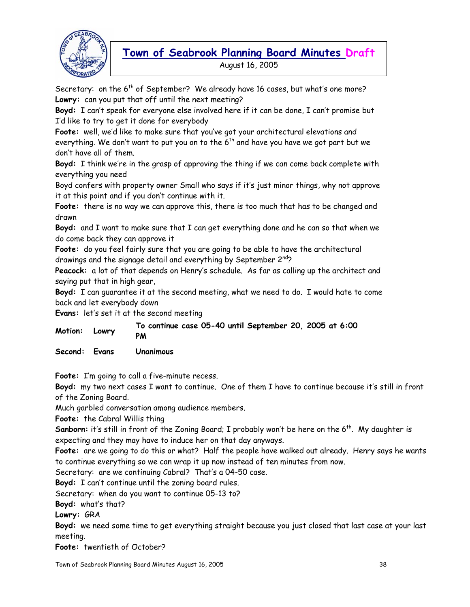

Secretary: on the  $6<sup>th</sup>$  of September? We already have 16 cases, but what's one more? **Lowry:** can you put that off until the next meeting?

**Boyd:** I can't speak for everyone else involved here if it can be done, I can't promise but I'd like to try to get it done for everybody

**Foote:** well, we'd like to make sure that you've got your architectural elevations and everything. We don't want to put you on to the  $6<sup>th</sup>$  and have you have we got part but we don't have all of them.

**Boyd:** I think we're in the grasp of approving the thing if we can come back complete with everything you need

Boyd confers with property owner Small who says if it's just minor things, why not approve it at this point and if you don't continue with it.

**Foote:** there is no way we can approve this, there is too much that has to be changed and drawn

**Boyd:** and I want to make sure that I can get everything done and he can so that when we do come back they can approve it

**Foote:** do you feel fairly sure that you are going to be able to have the architectural drawings and the signage detail and everything by September  $2^{nd}$ ?

**Peacock:** a lot of that depends on Henry's schedule. As far as calling up the architect and saying put that in high gear,

**Boyd:** I can guarantee it at the second meeting, what we need to do. I would hate to come back and let everybody down

**Evans:** let's set it at the second meeting

| Motion: Lowry |  | To continue case 05-40 until September 20, 2005 at 6:00 |  |  |  |
|---------------|--|---------------------------------------------------------|--|--|--|
|               |  | PM                                                      |  |  |  |

**Second: Evans Unanimous** 

**Foote:** I'm going to call a five-minute recess.

**Boyd:** my two next cases I want to continue. One of them I have to continue because it's still in front of the Zoning Board.

Much garbled conversation among audience members.

**Foote:** the Cabral Willis thing

**Sanborn:** it's still in front of the Zoning Board; I probably won't be here on the 6<sup>th</sup>. My daughter is expecting and they may have to induce her on that day anyways.

**Foote:** are we going to do this or what? Half the people have walked out already. Henry says he wants to continue everything so we can wrap it up now instead of ten minutes from now.

Secretary: are we continuing Cabral? That's a 04-50 case.

**Boyd:** I can't continue until the zoning board rules.

Secretary: when do you want to continue 05-13 to?

**Boyd:** what's that?

**Lowry:** GRA

**Boyd:** we need some time to get everything straight because you just closed that last case at your last meeting.

**Foote:** twentieth of October?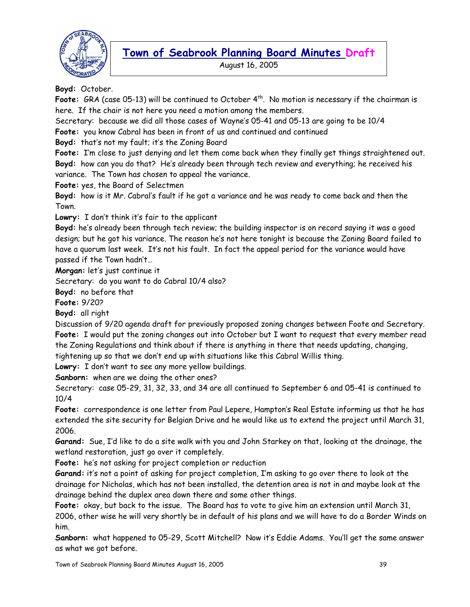

August 16, 2005

**Boyd:** October.

Foote: GRA (case 05-13) will be continued to October 4<sup>th</sup>. No motion is necessary if the chairman is here. If the chair is not here you need a motion among the members.

Secretary: because we did all those cases of Wayne's 05-41 and 05-13 are going to be 10/4

**Foote:** you know Cabral has been in front of us and continued and continued

**Boyd:** that's not my fault; it's the Zoning Board

**Foote:** I'm close to just denying and let them come back when they finally get things straightened out. **Boyd:** how can you do that? He's already been through tech review and everything; he received his variance. The Town has chosen to appeal the variance.

**Foote:** yes, the Board of Selectmen

**Boyd:** how is it Mr. Cabral's fault if he got a variance and he was ready to come back and then the Town.

**Lowry:** I don't think it's fair to the applicant

**Boyd:** he's already been through tech review; the building inspector is on record saying it was a good design; but he got his variance. The reason he's not here tonight is because the Zoning Board failed to have a quorum last week. It's not his fault. In fact the appeal period for the variance would have passed if the Town hadn't…

**Morgan:** let's just continue it

Secretary: do you want to do Cabral 10/4 also?

**Boyd:** no before that

**Foote:** 9/20?

**Boyd:** all right

Discussion of 9/20 agenda draft for previously proposed zoning changes between Foote and Secretary. **Foote:** I would put the zoning changes out into October but I want to request that every member read the Zoning Regulations and think about if there is anything in there that needs updating, changing,

tightening up so that we don't end up with situations like this Cabral Willis thing.

**Lowry:** I don't want to see any more yellow buildings.

**Sanborn:** when are we doing the other ones?

Secretary: case 05-29, 31, 32, 33, and 34 are all continued to September 6 and 05-41 is continued to 10/4

**Foote:** correspondence is one letter from Paul Lepere, Hampton's Real Estate informing us that he has extended the site security for Belgian Drive and he would like us to extend the project until March 31, 2006.

**Garand:** Sue, I'd like to do a site walk with you and John Starkey on that, looking at the drainage, the wetland restoration, just go over it completely.

**Foote:** he's not asking for project completion or reduction

**Garand:** it's not a point of asking for project completion, I'm asking to go over there to look at the drainage for Nicholas, which has not been installed, the detention area is not in and maybe look at the drainage behind the duplex area down there and some other things.

**Foote:** okay, but back to the issue. The Board has to vote to give him an extension until March 31, 2006, other wise he will very shortly be in default of his plans and we will have to do a Border Winds on him.

**Sanborn:** what happened to 05-29, Scott Mitchell? Now it's Eddie Adams. You'll get the same answer as what we got before.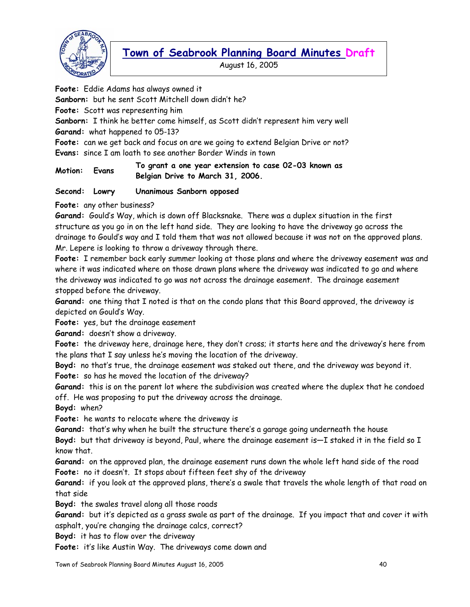

August 16, 2005

**Foote:** Eddie Adams has always owned it **Sanborn:** but he sent Scott Mitchell down didn't he? **Foote:** Scott was representing him **Sanborn:** I think he better come himself, as Scott didn't represent him very well **Garand:** what happened to 05-13? **Foote:** can we get back and focus on are we going to extend Belgian Drive or not? **Evans:** since I am loath to see another Border Winds in town **Motion: Evans To grant a one year extension to case 02-03 known as Belgian Drive to March 31, 2006.** 

**Second: Lowry Unanimous Sanborn opposed** 

**Foote:** any other business?

**Garand:** Gould's Way, which is down off Blacksnake. There was a duplex situation in the first structure as you go in on the left hand side. They are looking to have the driveway go across the drainage to Gould's way and I told them that was not allowed because it was not on the approved plans. Mr. Lepere is looking to throw a driveway through there.

**Foote:** I remember back early summer looking at those plans and where the driveway easement was and where it was indicated where on those drawn plans where the driveway was indicated to go and where the driveway was indicated to go was not across the drainage easement. The drainage easement stopped before the driveway.

**Garand:** one thing that I noted is that on the condo plans that this Board approved, the driveway is depicted on Gould's Way.

**Foote:** yes, but the drainage easement

**Garand:** doesn't show a driveway.

**Foote:** the driveway here, drainage here, they don't cross; it starts here and the driveway's here from the plans that I say unless he's moving the location of the driveway.

**Boyd:** no that's true, the drainage easement was staked out there, and the driveway was beyond it. **Foote:** so has he moved the location of the driveway?

**Garand:** this is on the parent lot where the subdivision was created where the duplex that he condoed off. He was proposing to put the driveway across the drainage.

**Boyd:** when?

**Foote:** he wants to relocate where the driveway is

**Garand:** that's why when he built the structure there's a garage going underneath the house

**Boyd:** but that driveway is beyond, Paul, where the drainage easement is—I staked it in the field so I know that.

**Garand:** on the approved plan, the drainage easement runs down the whole left hand side of the road **Foote:** no it doesn't. It stops about fifteen feet shy of the driveway

**Garand:** if you look at the approved plans, there's a swale that travels the whole length of that road on that side

**Boyd:** the swales travel along all those roads

**Garand:** but it's depicted as a grass swale as part of the drainage. If you impact that and cover it with asphalt, you're changing the drainage calcs, correct?

**Boyd:** it has to flow over the driveway

**Foote:** it's like Austin Way. The driveways come down and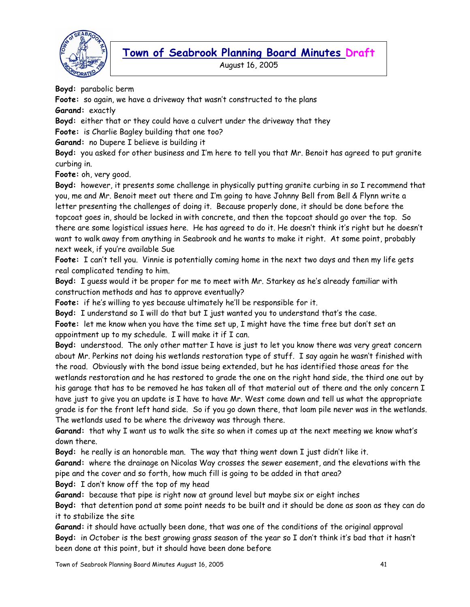

August 16, 2005

**Boyd:** parabolic berm

**Foote:** so again, we have a driveway that wasn't constructed to the plans

**Garand:** exactly

**Boyd:** either that or they could have a culvert under the driveway that they

**Foote:** is Charlie Bagley building that one too?

**Garand:** no Dupere I believe is building it

**Boyd:** you asked for other business and I'm here to tell you that Mr. Benoit has agreed to put granite curbing in.

**Foote:** oh, very good.

**Boyd:** however, it presents some challenge in physically putting granite curbing in so I recommend that you, me and Mr. Benoit meet out there and I'm going to have Johnny Bell from Bell & Flynn write a letter presenting the challenges of doing it. Because properly done, it should be done before the topcoat goes in, should be locked in with concrete, and then the topcoat should go over the top. So there are some logistical issues here. He has agreed to do it. He doesn't think it's right but he doesn't want to walk away from anything in Seabrook and he wants to make it right. At some point, probably next week, if you're available Sue

**Foote:** I can't tell you. Vinnie is potentially coming home in the next two days and then my life gets real complicated tending to him.

**Boyd:** I guess would it be proper for me to meet with Mr. Starkey as he's already familiar with construction methods and has to approve eventually?

**Foote:** if he's willing to yes because ultimately he'll be responsible for it.

**Boyd:** I understand so I will do that but I just wanted you to understand that's the case.

**Foote:** let me know when you have the time set up, I might have the time free but don't set an appointment up to my schedule. I will make it if I can.

**Boyd:** understood. The only other matter I have is just to let you know there was very great concern about Mr. Perkins not doing his wetlands restoration type of stuff. I say again he wasn't finished with the road. Obviously with the bond issue being extended, but he has identified those areas for the wetlands restoration and he has restored to grade the one on the right hand side, the third one out by his garage that has to be removed he has taken all of that material out of there and the only concern I have just to give you an update is I have to have Mr. West come down and tell us what the appropriate grade is for the front left hand side. So if you go down there, that loam pile never was in the wetlands. The wetlands used to be where the driveway was through there.

**Garand:** that why I want us to walk the site so when it comes up at the next meeting we know what's down there.

**Boyd:** he really is an honorable man. The way that thing went down I just didn't like it.

**Garand:** where the drainage on Nicolas Way crosses the sewer easement, and the elevations with the pipe and the cover and so forth, how much fill is going to be added in that area?

**Boyd:** I don't know off the top of my head

**Garand:** because that pipe is right now at ground level but maybe six or eight inches

**Boyd:** that detention pond at some point needs to be built and it should be done as soon as they can do it to stabilize the site

**Garand:** it should have actually been done, that was one of the conditions of the original approval **Boyd:** in October is the best growing grass season of the year so I don't think it's bad that it hasn't been done at this point, but it should have been done before